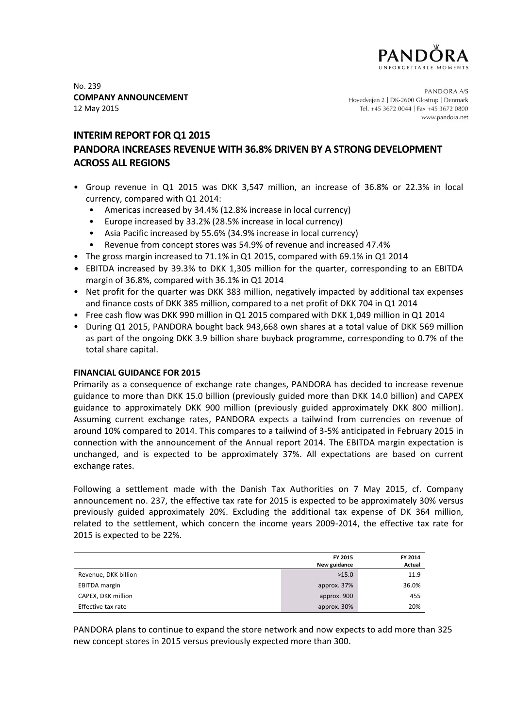

No. 239 **COMPANY ANNOUNCEMENT** 12 May 2015

PANDORA A/S Hovedvejen 2 | DK-2600 Glostrup | Denmark Tel. +45 3672 0044 | Fax +45 3672 0800 www.pandora.net

# **INTERIM REPORT FOR Q1 2015 PANDORA INCREASES REVENUE WITH 36.8% DRIVEN BY A STRONG DEVELOPMENT ACROSS ALL REGIONS**

- Group revenue in Q1 2015 was DKK 3,547 million, an increase of 36.8% or 22.3% in local currency, compared with Q1 2014:
	- Americas increased by 34.4% (12.8% increase in local currency)
	- Europe increased by 33.2% (28.5% increase in local currency)
	- Asia Pacific increased by 55.6% (34.9% increase in local currency)
	- Revenue from concept stores was 54.9% of revenue and increased 47.4%
- The gross margin increased to 71.1% in Q1 2015, compared with 69.1% in Q1 2014
- EBITDA increased by 39.3% to DKK 1,305 million for the quarter, corresponding to an EBITDA margin of 36.8%, compared with 36.1% in Q1 2014
- Net profit for the quarter was DKK 383 million, negatively impacted by additional tax expenses and finance costs of DKK 385 million, compared to a net profit of DKK 704 in Q1 2014
- Free cash flow was DKK 990 million in Q1 2015 compared with DKK 1,049 million in Q1 2014
- During Q1 2015, PANDORA bought back 943,668 own shares at a total value of DKK 569 million as part of the ongoing DKK 3.9 billion share buyback programme, corresponding to 0.7% of the total share capital.

# **FINANCIAL GUIDANCE FOR 2015**

Primarily as a consequence of exchange rate changes, PANDORA has decided to increase revenue guidance to more than DKK 15.0 billion (previously guided more than DKK 14.0 billion) and CAPEX guidance to approximately DKK 900 million (previously guided approximately DKK 800 million). Assuming current exchange rates, PANDORA expects a tailwind from currencies on revenue of around 10% compared to 2014. This compares to a tailwind of 3-5% anticipated in February 2015 in connection with the announcement of the Annual report 2014. The EBITDA margin expectation is unchanged, and is expected to be approximately 37%. All expectations are based on current exchange rates.

Following a settlement made with the Danish Tax Authorities on 7 May 2015, cf. Company announcement no. 237, the effective tax rate for 2015 is expected to be approximately 30% versus previously guided approximately 20%. Excluding the additional tax expense of DK 364 million, related to the settlement, which concern the income years 2009-2014, the effective tax rate for 2015 is expected to be 22%.

|                      | FY 2015      | FY 2014 |
|----------------------|--------------|---------|
|                      | New guidance | Actual  |
| Revenue, DKK billion | >15.0        | 11.9    |
| <b>EBITDA</b> margin | approx. 37%  | 36.0%   |
| CAPEX, DKK million   | approx. 900  | 455     |
| Effective tax rate   | approx. 30%  | 20%     |

PANDORA plans to continue to expand the store network and now expects to add more than 325 new concept stores in 2015 versus previously expected more than 300.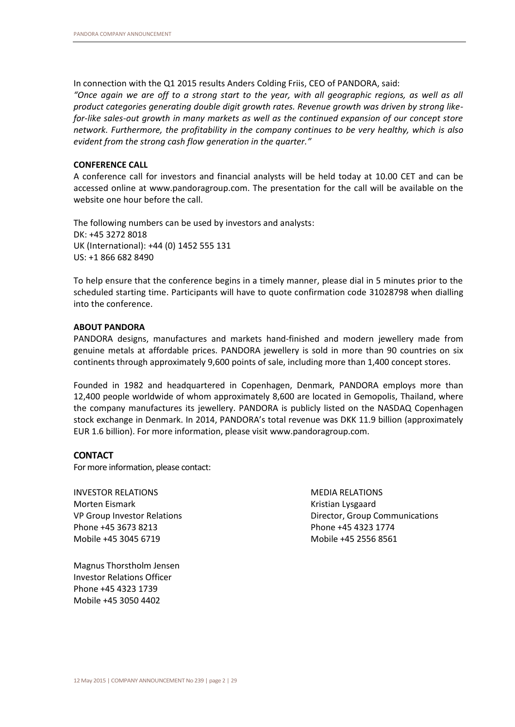In connection with the Q1 2015 results Anders Colding Friis, CEO of PANDORA, said:

*"Once again we are off to a strong start to the year, with all geographic regions, as well as all product categories generating double digit growth rates. Revenue growth was driven by strong likefor-like sales-out growth in many markets as well as the continued expansion of our concept store network. Furthermore, the profitability in the company continues to be very healthy, which is also evident from the strong cash flow generation in the quarter."* 

# **CONFERENCE CALL**

A conference call for investors and financial analysts will be held today at 10.00 CET and can be accessed online at www.pandoragroup.com. The presentation for the call will be available on the website one hour before the call.

The following numbers can be used by investors and analysts: DK: +45 3272 8018 UK (International): +44 (0) 1452 555 131 US: +1 866 682 8490

To help ensure that the conference begins in a timely manner, please dial in 5 minutes prior to the scheduled starting time. Participants will have to quote confirmation code 31028798 when dialling into the conference.

# **ABOUT PANDORA**

PANDORA designs, manufactures and markets hand-finished and modern jewellery made from genuine metals at affordable prices. PANDORA jewellery is sold in more than 90 countries on six continents through approximately 9,600 points of sale, including more than 1,400 concept stores.

Founded in 1982 and headquartered in Copenhagen, Denmark, PANDORA employs more than 12,400 people worldwide of whom approximately 8,600 are located in Gemopolis, Thailand, where the company manufactures its jewellery. PANDORA is publicly listed on the NASDAQ Copenhagen stock exchange in Denmark. In 2014, PANDORA's total revenue was DKK 11.9 billion (approximately EUR 1.6 billion). For more information, please visit [www.pandoragroup.com.](http://www.pandoragroup.com/)

# **CONTACT**

For more information, please contact:

INVESTOR RELATIONS Morten Eismark VP Group Investor Relations Phone +45 3673 8213 Mobile +45 3045 6719

MEDIA RELATIONS Kristian Lysgaard Director, Group Communications Phone +45 4323 1774 Mobile +45 2556 8561

Magnus Thorstholm Jensen Investor Relations Officer Phone +45 4323 1739 Mobile +45 3050 4402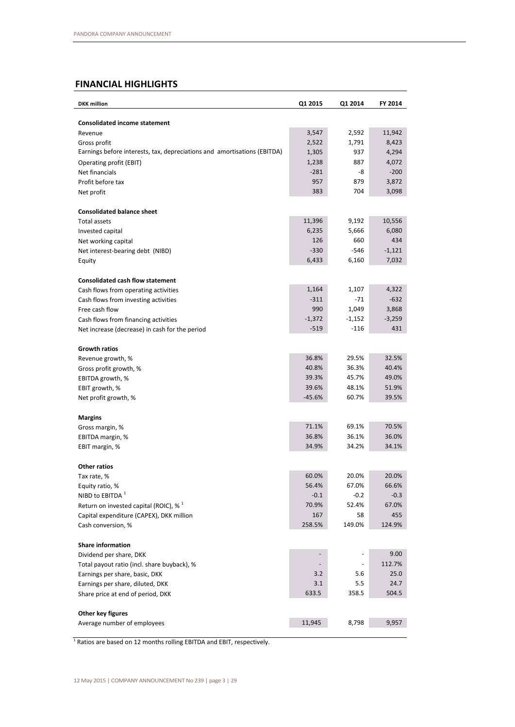# **FINANCIAL HIGHLIGHTS**

| <b>DKK</b> million                                                       | Q1 2015            | Q1 2014  | FY 2014  |
|--------------------------------------------------------------------------|--------------------|----------|----------|
| <b>Consolidated income statement</b>                                     |                    |          |          |
| Revenue                                                                  | 3,547              | 2,592    | 11,942   |
| Gross profit                                                             | 2,522              | 1,791    | 8,423    |
| Earnings before interests, tax, depreciations and amortisations (EBITDA) | 1,305              | 937      | 4,294    |
| Operating profit (EBIT)                                                  | 1,238              | 887      | 4,072    |
| Net financials                                                           | $-281$             | -8       | $-200$   |
| Profit before tax                                                        | 957                | 879      | 3,872    |
| Net profit                                                               | 383                | 704      | 3,098    |
| <b>Consolidated balance sheet</b>                                        |                    |          |          |
| <b>Total assets</b>                                                      | 11,396             | 9,192    | 10,556   |
| Invested capital                                                         | 6,235              | 5,666    | 6,080    |
| Net working capital                                                      | 126                | 660      | 434      |
| Net interest-bearing debt (NIBD)                                         | $-330$             | $-546$   | $-1,121$ |
| Equity                                                                   | 6,433              | 6,160    | 7,032    |
|                                                                          |                    |          |          |
| <b>Consolidated cash flow statement</b>                                  | 1,164              | 1,107    | 4,322    |
| Cash flows from operating activities                                     | $-311$             | $-71$    | $-632$   |
| Cash flows from investing activities                                     | 990                |          | 3,868    |
| Free cash flow                                                           |                    | 1,049    | $-3,259$ |
| Cash flows from financing activities                                     | $-1,372$<br>$-519$ | $-1,152$ | 431      |
| Net increase (decrease) in cash for the period                           |                    | $-116$   |          |
| <b>Growth ratios</b>                                                     |                    |          |          |
| Revenue growth, %                                                        | 36.8%              | 29.5%    | 32.5%    |
| Gross profit growth, %                                                   | 40.8%              | 36.3%    | 40.4%    |
| EBITDA growth, %                                                         | 39.3%              | 45.7%    | 49.0%    |
| EBIT growth, %                                                           | 39.6%              | 48.1%    | 51.9%    |
| Net profit growth, %                                                     | $-45.6%$           | 60.7%    | 39.5%    |
| <b>Margins</b>                                                           |                    |          |          |
| Gross margin, %                                                          | 71.1%              | 69.1%    | 70.5%    |
| EBITDA margin, %                                                         | 36.8%              | 36.1%    | 36.0%    |
| EBIT margin, %                                                           | 34.9%              | 34.2%    | 34.1%    |
| <b>Other ratios</b>                                                      |                    |          |          |
| Tax rate, %                                                              | 60.0%              | 20.0%    | 20.0%    |
| Equity ratio, %                                                          | 56.4%              | 67.0%    | 66.6%    |
| NIBD to EBITDA <sup>1</sup>                                              | $-0.1$             | $-0.2$   | $-0.3$   |
| Return on invested capital (ROIC), $\%$ <sup>1</sup>                     | 70.9%              | 52.4%    | 67.0%    |
| Capital expenditure (CAPEX), DKK million                                 | 167                | 58       | 455      |
| Cash conversion, %                                                       | 258.5%             | 149.0%   | 124.9%   |
| <b>Share information</b>                                                 |                    |          |          |
| Dividend per share, DKK                                                  |                    |          | 9.00     |
| Total payout ratio (incl. share buyback), %                              |                    |          | 112.7%   |
| Earnings per share, basic, DKK                                           | 3.2                | 5.6      | 25.0     |
| Earnings per share, diluted, DKK                                         | 3.1                | 5.5      | 24.7     |
| Share price at end of period, DKK                                        | 633.5              | 358.5    | 504.5    |
| Other key figures                                                        |                    |          |          |
| Average number of employees                                              | 11,945             | 8,798    | 9,957    |
|                                                                          |                    |          |          |

<sup>1</sup> Ratios are based on 12 months rolling EBITDA and EBIT, respectively.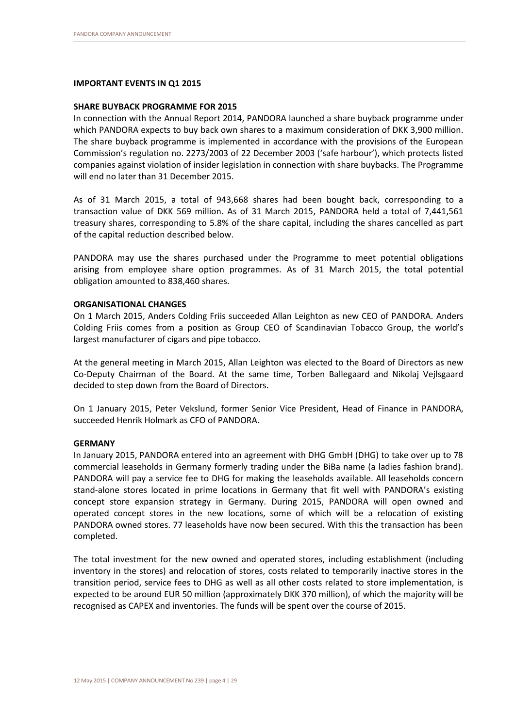### **IMPORTANT EVENTS IN Q1 2015**

#### **SHARE BUYBACK PROGRAMME FOR 2015**

In connection with the Annual Report 2014, PANDORA launched a share buyback programme under which PANDORA expects to buy back own shares to a maximum consideration of DKK 3,900 million. The share buyback programme is implemented in accordance with the provisions of the European Commission's regulation no. 2273/2003 of 22 December 2003 ('safe harbour'), which protects listed companies against violation of insider legislation in connection with share buybacks. The Programme will end no later than 31 December 2015.

As of 31 March 2015, a total of 943,668 shares had been bought back, corresponding to a transaction value of DKK 569 million. As of 31 March 2015, PANDORA held a total of 7,441,561 treasury shares, corresponding to 5.8% of the share capital, including the shares cancelled as part of the capital reduction described below.

PANDORA may use the shares purchased under the Programme to meet potential obligations arising from employee share option programmes. As of 31 March 2015, the total potential obligation amounted to 838,460 shares.

#### **ORGANISATIONAL CHANGES**

On 1 March 2015, Anders Colding Friis succeeded Allan Leighton as new CEO of PANDORA. Anders Colding Friis comes from a position as Group CEO of Scandinavian Tobacco Group, the world's largest manufacturer of cigars and pipe tobacco.

At the general meeting in March 2015, Allan Leighton was elected to the Board of Directors as new Co-Deputy Chairman of the Board. At the same time, Torben Ballegaard and Nikolaj Vejlsgaard decided to step down from the Board of Directors.

On 1 January 2015, Peter Vekslund, former Senior Vice President, Head of Finance in PANDORA, succeeded Henrik Holmark as CFO of PANDORA.

#### **GERMANY**

In January 2015, PANDORA entered into an agreement with DHG GmbH (DHG) to take over up to 78 commercial leaseholds in Germany formerly trading under the BiBa name (a ladies fashion brand). PANDORA will pay a service fee to DHG for making the leaseholds available. All leaseholds concern stand-alone stores located in prime locations in Germany that fit well with PANDORA's existing concept store expansion strategy in Germany. During 2015, PANDORA will open owned and operated concept stores in the new locations, some of which will be a relocation of existing PANDORA owned stores. 77 leaseholds have now been secured. With this the transaction has been completed.

The total investment for the new owned and operated stores, including establishment (including inventory in the stores) and relocation of stores, costs related to temporarily inactive stores in the transition period, service fees to DHG as well as all other costs related to store implementation, is expected to be around EUR 50 million (approximately DKK 370 million), of which the majority will be recognised as CAPEX and inventories. The funds will be spent over the course of 2015.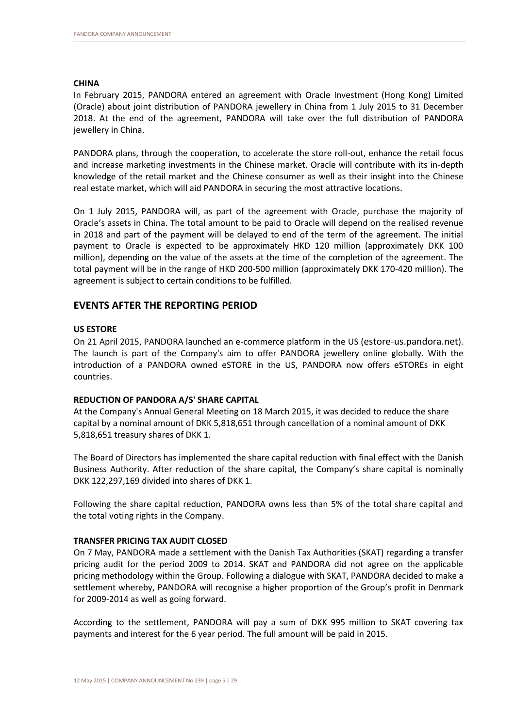# **CHINA**

In February 2015, PANDORA entered an agreement with Oracle Investment (Hong Kong) Limited (Oracle) about joint distribution of PANDORA jewellery in China from 1 July 2015 to 31 December 2018. At the end of the agreement, PANDORA will take over the full distribution of PANDORA jewellery in China.

PANDORA plans, through the cooperation, to accelerate the store roll-out, enhance the retail focus and increase marketing investments in the Chinese market. Oracle will contribute with its in-depth knowledge of the retail market and the Chinese consumer as well as their insight into the Chinese real estate market, which will aid PANDORA in securing the most attractive locations.

On 1 July 2015, PANDORA will, as part of the agreement with Oracle, purchase the majority of Oracle's assets in China. The total amount to be paid to Oracle will depend on the realised revenue in 2018 and part of the payment will be delayed to end of the term of the agreement. The initial payment to Oracle is expected to be approximately HKD 120 million (approximately DKK 100 million), depending on the value of the assets at the time of the completion of the agreement. The total payment will be in the range of HKD 200-500 million (approximately DKK 170-420 million). The agreement is subject to certain conditions to be fulfilled.

# **EVENTS AFTER THE REPORTING PERIOD**

# **US ESTORE**

On 21 April 2015, PANDORA launched an e-commerce platform in the US ([estore-us.pandora.net](http://estore-us.pandora.net/)). The launch is part of the Company's aim to offer PANDORA jewellery online globally. With the introduction of a PANDORA owned eSTORE in the US, PANDORA now offers eSTOREs in eight countries.

# **REDUCTION OF PANDORA A/S' SHARE CAPITAL**

At the Company's Annual General Meeting on 18 March 2015, it was decided to reduce the share capital by a nominal amount of DKK 5,818,651 through cancellation of a nominal amount of DKK 5,818,651 treasury shares of DKK 1.

The Board of Directors has implemented the share capital reduction with final effect with the Danish Business Authority. After reduction of the share capital, the Company's share capital is nominally DKK 122,297,169 divided into shares of DKK 1.

Following the share capital reduction, PANDORA owns less than 5% of the total share capital and the total voting rights in the Company.

# **TRANSFER PRICING TAX AUDIT CLOSED**

On 7 May, PANDORA made a settlement with the Danish Tax Authorities (SKAT) regarding a transfer pricing audit for the period 2009 to 2014. SKAT and PANDORA did not agree on the applicable pricing methodology within the Group. Following a dialogue with SKAT, PANDORA decided to make a settlement whereby, PANDORA will recognise a higher proportion of the Group's profit in Denmark for 2009-2014 as well as going forward.

According to the settlement, PANDORA will pay a sum of DKK 995 million to SKAT covering tax payments and interest for the 6 year period. The full amount will be paid in 2015.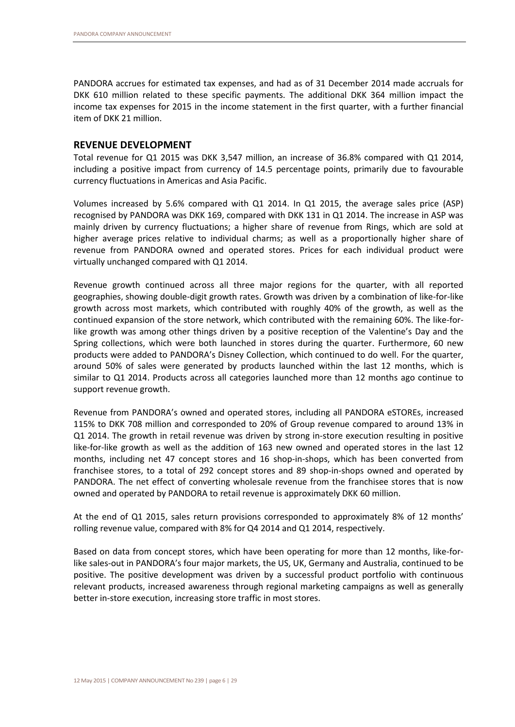PANDORA accrues for estimated tax expenses, and had as of 31 December 2014 made accruals for DKK 610 million related to these specific payments. The additional DKK 364 million impact the income tax expenses for 2015 in the income statement in the first quarter, with a further financial item of DKK 21 million.

# **REVENUE DEVELOPMENT**

Total revenue for Q1 2015 was DKK 3,547 million, an increase of 36.8% compared with Q1 2014, including a positive impact from currency of 14.5 percentage points, primarily due to favourable currency fluctuations in Americas and Asia Pacific.

Volumes increased by 5.6% compared with Q1 2014. In Q1 2015, the average sales price (ASP) recognised by PANDORA was DKK 169, compared with DKK 131 in Q1 2014. The increase in ASP was mainly driven by currency fluctuations; a higher share of revenue from Rings, which are sold at higher average prices relative to individual charms; as well as a proportionally higher share of revenue from PANDORA owned and operated stores. Prices for each individual product were virtually unchanged compared with Q1 2014.

Revenue growth continued across all three major regions for the quarter, with all reported geographies, showing double-digit growth rates. Growth was driven by a combination of like-for-like growth across most markets, which contributed with roughly 40% of the growth, as well as the continued expansion of the store network, which contributed with the remaining 60%. The like-forlike growth was among other things driven by a positive reception of the Valentine's Day and the Spring collections, which were both launched in stores during the quarter. Furthermore, 60 new products were added to PANDORA's Disney Collection, which continued to do well. For the quarter, around 50% of sales were generated by products launched within the last 12 months, which is similar to Q1 2014. Products across all categories launched more than 12 months ago continue to support revenue growth.

Revenue from PANDORA's owned and operated stores, including all PANDORA eSTOREs, increased 115% to DKK 708 million and corresponded to 20% of Group revenue compared to around 13% in Q1 2014. The growth in retail revenue was driven by strong in-store execution resulting in positive like-for-like growth as well as the addition of 163 new owned and operated stores in the last 12 months, including net 47 concept stores and 16 shop-in-shops, which has been converted from franchisee stores, to a total of 292 concept stores and 89 shop-in-shops owned and operated by PANDORA. The net effect of converting wholesale revenue from the franchisee stores that is now owned and operated by PANDORA to retail revenue is approximately DKK 60 million.

At the end of Q1 2015, sales return provisions corresponded to approximately 8% of 12 months' rolling revenue value, compared with 8% for Q4 2014 and Q1 2014, respectively.

Based on data from concept stores, which have been operating for more than 12 months, like-forlike sales-out in PANDORA's four major markets, the US, UK, Germany and Australia, continued to be positive. The positive development was driven by a successful product portfolio with continuous relevant products, increased awareness through regional marketing campaigns as well as generally better in-store execution, increasing store traffic in most stores.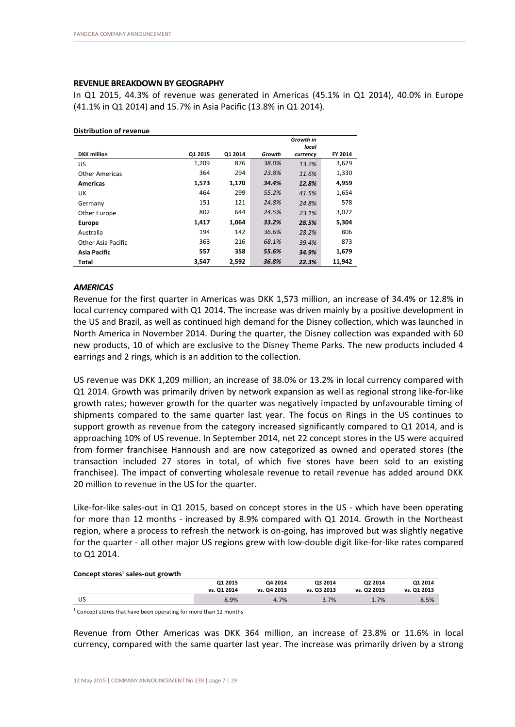# **REVENUE BREAKDOWN BY GEOGRAPHY**

In Q1 2015, 44.3% of revenue was generated in Americas (45.1% in Q1 2014), 40.0% in Europe (41.1% in Q1 2014) and 15.7% in Asia Pacific (13.8% in Q1 2014).

|                       |         |         |        | Growth in         |         |
|-----------------------|---------|---------|--------|-------------------|---------|
| <b>DKK</b> million    | 01 2015 | 01 2014 | Growth | local<br>currency | FY 2014 |
| US                    | 1,209   | 876     | 38.0%  | 13.2%             | 3,629   |
| <b>Other Americas</b> | 364     | 294     | 23.8%  | 11.6%             | 1,330   |
| <b>Americas</b>       | 1,573   | 1,170   | 34.4%  | 12.8%             | 4,959   |
| UK                    | 464     | 299     | 55.2%  | 41.5%             | 1,654   |
| Germany               | 151     | 121     | 24.8%  | 24.8%             | 578     |
| Other Europe          | 802     | 644     | 24.5%  | 23.1%             | 3,072   |
| <b>Europe</b>         | 1.417   | 1.064   | 33.2%  | 28.5%             | 5,304   |
| Australia             | 194     | 142     | 36.6%  | 28.2%             | 806     |
| Other Asia Pacific    | 363     | 216     | 68.1%  | 39.4%             | 873     |
| Asia Pacific          | 557     | 358     | 55.6%  | 34.9%             | 1,679   |
| Total                 | 3,547   | 2,592   | 36.8%  | 22.3%             | 11.942  |

#### **Distribution of revenue**

# *AMERICAS*

Revenue for the first quarter in Americas was DKK 1,573 million, an increase of 34.4% or 12.8% in local currency compared with Q1 2014. The increase was driven mainly by a positive development in the US and Brazil, as well as continued high demand for the Disney collection, which was launched in North America in November 2014. During the quarter, the Disney collection was expanded with 60 new products, 10 of which are exclusive to the Disney Theme Parks. The new products included 4 earrings and 2 rings, which is an addition to the collection.

US revenue was DKK 1,209 million, an increase of 38.0% or 13.2% in local currency compared with Q1 2014. Growth was primarily driven by network expansion as well as regional strong like-for-like growth rates; however growth for the quarter was negatively impacted by unfavourable timing of shipments compared to the same quarter last year. The focus on Rings in the US continues to support growth as revenue from the category increased significantly compared to Q1 2014, and is approaching 10% of US revenue. In September 2014, net 22 concept stores in the US were acquired from former franchisee Hannoush and are now categorized as owned and operated stores (the transaction included 27 stores in total, of which five stores have been sold to an existing franchisee). The impact of converting wholesale revenue to retail revenue has added around DKK 20 million to revenue in the US for the quarter.

Like-for-like sales-out in Q1 2015, based on concept stores in the US - which have been operating for more than 12 months - increased by 8.9% compared with Q1 2014. Growth in the Northeast region, where a process to refresh the network is on-going, has improved but was slightly negative for the quarter - all other major US regions grew with low-double digit like-for-like rates compared to Q1 2014.

#### **Concept stores<sup>1</sup> sales-out growth**

| -  |             |             |             |             |             |
|----|-------------|-------------|-------------|-------------|-------------|
|    | 01 2015     | Q4 2014     | Q3 2014     | Q2 2014     | Q1 2014     |
|    | vs. Q1 2014 | vs. Q4 2013 | vs. Q3 2013 | vs. Q2 2013 | vs. Q1 2013 |
| US | 8.9%        | 4.7%        | 3.7%        | 1.7%        | 8.5%        |
|    |             |             |             |             |             |

<sup>1</sup> Concept stores that have been operating for more than 12 months

Revenue from Other Americas was DKK 364 million, an increase of 23.8% or 11.6% in local currency, compared with the same quarter last year. The increase was primarily driven by a strong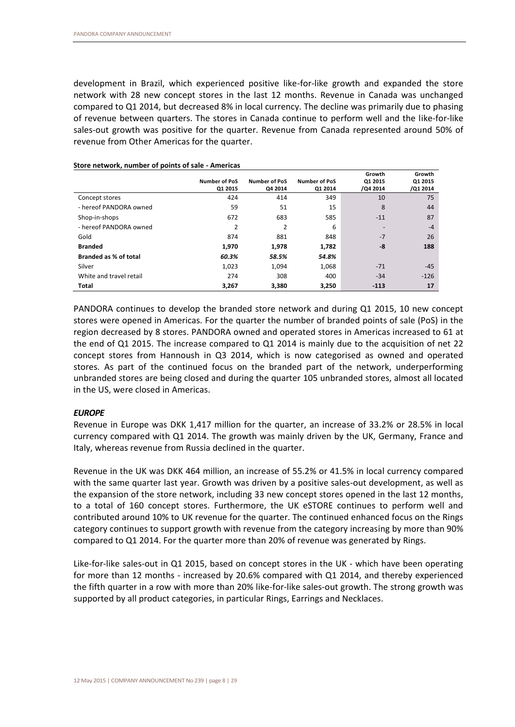development in Brazil, which experienced positive like-for-like growth and expanded the store network with 28 new concept stores in the last 12 months. Revenue in Canada was unchanged compared to Q1 2014, but decreased 8% in local currency. The decline was primarily due to phasing of revenue between quarters. The stores in Canada continue to perform well and the like-for-like sales-out growth was positive for the quarter. Revenue from Canada represented around 50% of revenue from Other Americas for the quarter.

|                         | <b>Number of PoS</b><br>Q1 2015 | <b>Number of PoS</b><br>Q4 2014 | <b>Number of PoS</b><br>Q1 2014 | Growth<br>Q1 2015<br>/Q4 2014 | Growth<br>Q1 2015<br>/Q1 2014 |
|-------------------------|---------------------------------|---------------------------------|---------------------------------|-------------------------------|-------------------------------|
| Concept stores          | 424                             | 414                             | 349                             | 10                            | 75                            |
| - hereof PANDORA owned  | 59                              | 51                              | 15                              | 8                             | 44                            |
| Shop-in-shops           | 672                             | 683                             | 585                             | $-11$                         | 87                            |
| - hereof PANDORA owned  | 2                               | 2                               | 6                               | $\overline{\phantom{a}}$      | $-4$                          |
| Gold                    | 874                             | 881                             | 848                             | $-7$                          | 26                            |
| <b>Branded</b>          | 1,970                           | 1,978                           | 1,782                           | -8                            | 188                           |
| Branded as % of total   | 60.3%                           | 58.5%                           | 54.8%                           |                               |                               |
| Silver                  | 1,023                           | 1,094                           | 1,068                           | $-71$                         | $-45$                         |
| White and travel retail | 274                             | 308                             | 400                             | $-34$                         | $-126$                        |
| Total                   | 3,267                           | 3,380                           | 3,250                           | $-113$                        | 17                            |

**Store network, number of points of sale - Americas**

PANDORA continues to develop the branded store network and during Q1 2015, 10 new concept stores were opened in Americas. For the quarter the number of branded points of sale (PoS) in the region decreased by 8 stores. PANDORA owned and operated stores in Americas increased to 61 at the end of Q1 2015. The increase compared to Q1 2014 is mainly due to the acquisition of net 22 concept stores from Hannoush in Q3 2014, which is now categorised as owned and operated stores. As part of the continued focus on the branded part of the network, underperforming unbranded stores are being closed and during the quarter 105 unbranded stores, almost all located in the US, were closed in Americas.

# *EUROPE*

Revenue in Europe was DKK 1,417 million for the quarter, an increase of 33.2% or 28.5% in local currency compared with Q1 2014. The growth was mainly driven by the UK, Germany, France and Italy, whereas revenue from Russia declined in the quarter.

Revenue in the UK was DKK 464 million, an increase of 55.2% or 41.5% in local currency compared with the same quarter last year. Growth was driven by a positive sales-out development, as well as the expansion of the store network, including 33 new concept stores opened in the last 12 months, to a total of 160 concept stores. Furthermore, the UK eSTORE continues to perform well and contributed around 10% to UK revenue for the quarter. The continued enhanced focus on the Rings category continues to support growth with revenue from the category increasing by more than 90% compared to Q1 2014. For the quarter more than 20% of revenue was generated by Rings.

Like-for-like sales-out in Q1 2015, based on concept stores in the UK - which have been operating for more than 12 months - increased by 20.6% compared with Q1 2014, and thereby experienced the fifth quarter in a row with more than 20% like-for-like sales-out growth. The strong growth was supported by all product categories, in particular Rings, Earrings and Necklaces.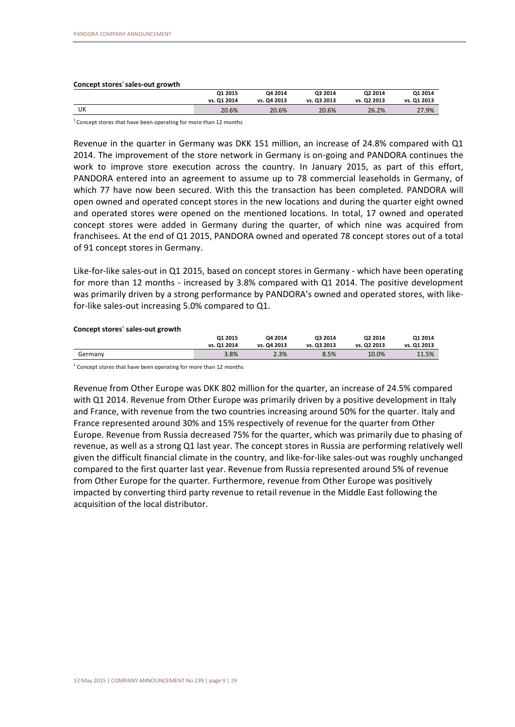#### **Concept stores**<sup>1</sup>**sales-out growth**

|    | Q1 2015     | Q4 2014     | Q3 2014     | Q2 2014     | Q1 2014     |
|----|-------------|-------------|-------------|-------------|-------------|
|    | vs. Q1 2014 | vs. Q4 2013 | vs. Q3 2013 | vs. Q2 2013 | vs. Q1 2013 |
| UK | 20.6%       | 20.6%       | 20.6%       | 26.2%       | 27.9%       |

 $1$  Concept stores that have been operating for more than 12 months

Revenue in the quarter in Germany was DKK 151 million, an increase of 24.8% compared with Q1 2014. The improvement of the store network in Germany is on-going and PANDORA continues the work to improve store execution across the country. In January 2015, as part of this effort, PANDORA entered into an agreement to assume up to 78 commercial leaseholds in Germany, of which 77 have now been secured. With this the transaction has been completed. PANDORA will open owned and operated concept stores in the new locations and during the quarter eight owned and operated stores were opened on the mentioned locations. In total, 17 owned and operated concept stores were added in Germany during the quarter, of which nine was acquired from franchisees. At the end of Q1 2015, PANDORA owned and operated 78 concept stores out of a total of 91 concept stores in Germany.

Like-for-like sales-out in Q1 2015, based on concept stores in Germany - which have been operating for more than 12 months - increased by 3.8% compared with Q1 2014. The positive development was primarily driven by a strong performance by PANDORA's owned and operated stores, with likefor-like sales-out increasing 5.0% compared to Q1.

| Concept stores' sales-out growth |             |             |             |             |             |
|----------------------------------|-------------|-------------|-------------|-------------|-------------|
|                                  | Q1 2015     | Q4 2014     | Q3 2014     | Q2 2014     | Q1 2014     |
|                                  | vs. Q1 2014 | vs. Q4 2013 | vs. Q3 2013 | vs. Q2 2013 | vs. Q1 2013 |
| Germany                          | 3.8%        | 2.3%        | 8.5%        | 10.0%       | 11.5%       |
|                                  |             |             |             |             |             |

<sup>1</sup> Concept stores that have been operating for more than 12 months

Revenue from Other Europe was DKK 802 million for the quarter, an increase of 24.5% compared with Q1 2014. Revenue from Other Europe was primarily driven by a positive development in Italy and France, with revenue from the two countries increasing around 50% for the quarter. Italy and France represented around 30% and 15% respectively of revenue for the quarter from Other Europe. Revenue from Russia decreased 75% for the quarter, which was primarily due to phasing of revenue, as well as a strong Q1 last year. The concept stores in Russia are performing relatively well given the difficult financial climate in the country, and like-for-like sales-out was roughly unchanged compared to the first quarter last year. Revenue from Russia represented around 5% of revenue from Other Europe for the quarter. Furthermore, revenue from Other Europe was positively impacted by converting third party revenue to retail revenue in the Middle East following the acquisition of the local distributor.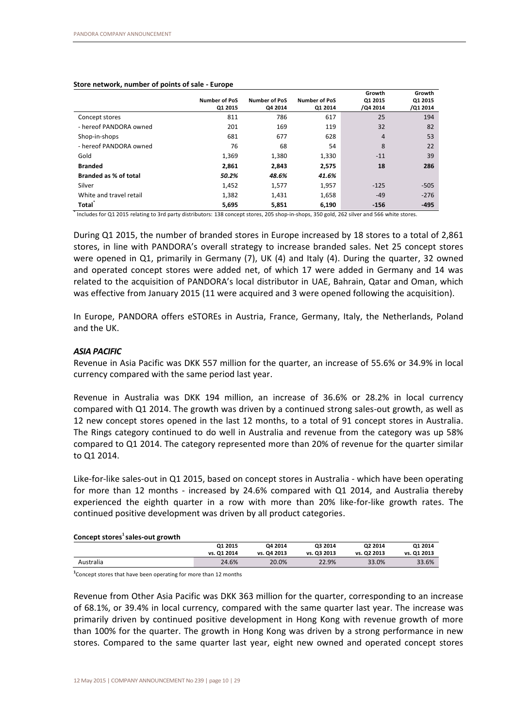#### **Store network, number of points of sale - Europe**

|                         | <b>Number of PoS</b><br>Q1 2015 | <b>Number of PoS</b><br>Q4 2014 | <b>Number of PoS</b><br>Q1 2014 | Growth<br>Q1 2015<br>/Q4 2014 | Growth<br>Q1 2015<br>/Q1 2014 |
|-------------------------|---------------------------------|---------------------------------|---------------------------------|-------------------------------|-------------------------------|
| Concept stores          | 811                             | 786                             | 617                             | 25                            | 194                           |
| - hereof PANDORA owned  | 201                             | 169                             | 119                             | 32                            | 82                            |
| Shop-in-shops           | 681                             | 677                             | 628                             | $\overline{4}$                | 53                            |
| - hereof PANDORA owned  | 76                              | 68                              | 54                              | 8                             | 22                            |
| Gold                    | 1,369                           | 1,380                           | 1,330                           | $-11$                         | 39                            |
| <b>Branded</b>          | 2,861                           | 2,843                           | 2,575                           | 18                            | 286                           |
| Branded as % of total   | 50.2%                           | 48.6%                           | 41.6%                           |                               |                               |
| Silver                  | 1,452                           | 1,577                           | 1,957                           | $-125$                        | $-505$                        |
| White and travel retail | 1,382                           | 1,431                           | 1,658                           | $-49$                         | $-276$                        |
| Total                   | 5,695                           | 5,851                           | 6,190                           | $-156$                        | $-495$                        |

\* Includes for Q1 2015 relating to 3rd party distributors: 138 concept stores, 205 shop-in-shops, 350 gold, 262 silver and 566 white stores.

During Q1 2015, the number of branded stores in Europe increased by 18 stores to a total of 2,861 stores, in line with PANDORA's overall strategy to increase branded sales. Net 25 concept stores were opened in Q1, primarily in Germany (7), UK (4) and Italy (4). During the quarter, 32 owned and operated concept stores were added net, of which 17 were added in Germany and 14 was related to the acquisition of PANDORA's local distributor in UAE, Bahrain, Qatar and Oman, which was effective from January 2015 (11 were acquired and 3 were opened following the acquisition).

In Europe, PANDORA offers eSTOREs in Austria, France, Germany, Italy, the Netherlands, Poland and the UK.

# *ASIA PACIFIC*

Revenue in Asia Pacific was DKK 557 million for the quarter, an increase of 55.6% or 34.9% in local currency compared with the same period last year.

Revenue in Australia was DKK 194 million, an increase of 36.6% or 28.2% in local currency compared with Q1 2014. The growth was driven by a continued strong sales-out growth, as well as 12 new concept stores opened in the last 12 months, to a total of 91 concept stores in Australia. The Rings category continued to do well in Australia and revenue from the category was up 58% compared to Q1 2014. The category represented more than 20% of revenue for the quarter similar to Q1 2014.

Like-for-like sales-out in Q1 2015, based on concept stores in Australia - which have been operating for more than 12 months - increased by 24.6% compared with Q1 2014, and Australia thereby experienced the eighth quarter in a row with more than 20% like-for-like growth rates. The continued positive development was driven by all product categories.

#### **Concept stores<sup>1</sup>sales-out growth**

|           | 01 2015     | Q4 2014     | Q3 2014     | Q2 2014     | Q1 2014     |
|-----------|-------------|-------------|-------------|-------------|-------------|
|           | vs. Q1 2014 | vs. Q4 2013 | vs. Q3 2013 | vs. Q2 2013 | vs. Q1 2013 |
| Australia | 24.6%       | 20.0%       | 22.9%       | 33.0%       | 33.6%       |

**1** Concept stores that have been operating for more than 12 months

Revenue from Other Asia Pacific was DKK 363 million for the quarter, corresponding to an increase of 68.1%, or 39.4% in local currency, compared with the same quarter last year. The increase was primarily driven by continued positive development in Hong Kong with revenue growth of more than 100% for the quarter. The growth in Hong Kong was driven by a strong performance in new stores. Compared to the same quarter last year, eight new owned and operated concept stores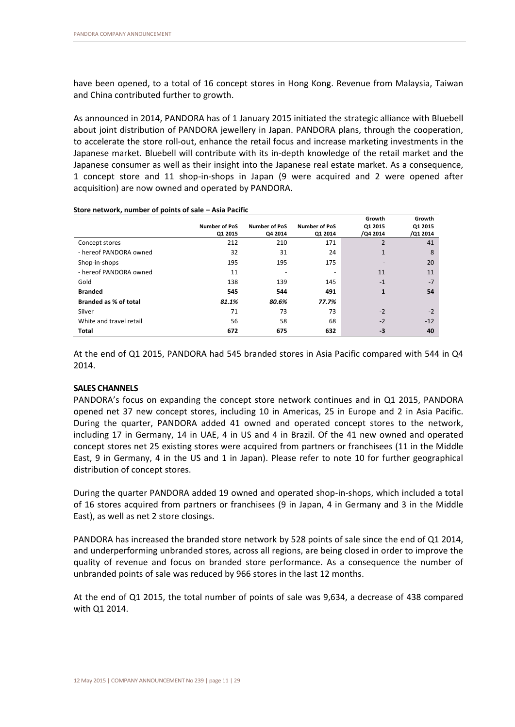have been opened, to a total of 16 concept stores in Hong Kong. Revenue from Malaysia, Taiwan and China contributed further to growth.

As announced in 2014, PANDORA has of 1 January 2015 initiated the strategic alliance with Bluebell about joint distribution of PANDORA jewellery in Japan. PANDORA plans, through the cooperation, to accelerate the store roll-out, enhance the retail focus and increase marketing investments in the Japanese market. Bluebell will contribute with its in-depth knowledge of the retail market and the Japanese consumer as well as their insight into the Japanese real estate market. As a consequence, 1 concept store and 11 shop-in-shops in Japan (9 were acquired and 2 were opened after acquisition) are now owned and operated by PANDORA.

|                              | <b>Number of PoS</b><br>Q1 2015 | <b>Number of PoS</b><br>Q4 2014 | <b>Number of PoS</b><br>Q1 2014 | Growth<br>Q1 2015<br>/Q4 2014 | Growth<br>Q1 2015<br>/Q1 2014 |
|------------------------------|---------------------------------|---------------------------------|---------------------------------|-------------------------------|-------------------------------|
| Concept stores               | 212                             | 210                             | 171                             | 2                             | 41                            |
| - hereof PANDORA owned       | 32                              | 31                              | 24                              | $\mathbf{1}$                  | 8                             |
| Shop-in-shops                | 195                             | 195                             | 175                             |                               | 20                            |
| - hereof PANDORA owned       | 11                              |                                 |                                 | 11                            | 11                            |
| Gold                         | 138                             | 139                             | 145                             | $-1$                          | $-7$                          |
| <b>Branded</b>               | 545                             | 544                             | 491                             | $\mathbf{1}$                  | 54                            |
| <b>Branded as % of total</b> | 81.1%                           | 80.6%                           | 77.7%                           |                               |                               |
| Silver                       | 71                              | 73                              | 73                              | $-2$                          | $-2$                          |
| White and travel retail      | 56                              | 58                              | 68                              | $-2$                          | $-12$                         |
| Total                        | 672                             | 675                             | 632                             | -3                            | 40                            |

#### **Store network, number of points of sale – Asia Pacific**

At the end of Q1 2015, PANDORA had 545 branded stores in Asia Pacific compared with 544 in Q4 2014.

# **SALES CHANNELS**

PANDORA's focus on expanding the concept store network continues and in Q1 2015, PANDORA opened net 37 new concept stores, including 10 in Americas, 25 in Europe and 2 in Asia Pacific. During the quarter, PANDORA added 41 owned and operated concept stores to the network, including 17 in Germany, 14 in UAE, 4 in US and 4 in Brazil. Of the 41 new owned and operated concept stores net 25 existing stores were acquired from partners or franchisees (11 in the Middle East, 9 in Germany, 4 in the US and 1 in Japan). Please refer to note 10 for further geographical distribution of concept stores.

During the quarter PANDORA added 19 owned and operated shop-in-shops, which included a total of 16 stores acquired from partners or franchisees (9 in Japan, 4 in Germany and 3 in the Middle East), as well as net 2 store closings.

PANDORA has increased the branded store network by 528 points of sale since the end of Q1 2014, and underperforming unbranded stores, across all regions, are being closed in order to improve the quality of revenue and focus on branded store performance. As a consequence the number of unbranded points of sale was reduced by 966 stores in the last 12 months.

At the end of Q1 2015, the total number of points of sale was 9,634, a decrease of 438 compared with Q1 2014.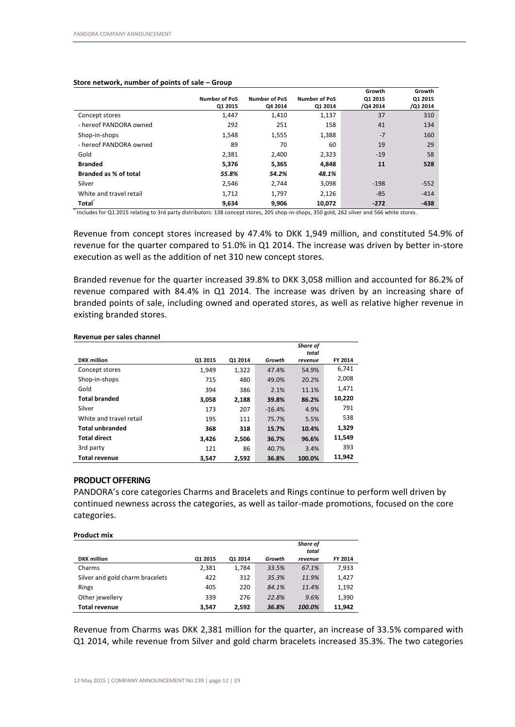| Store network, number of points of sale - Group |  |
|-------------------------------------------------|--|
|-------------------------------------------------|--|

|                         |                      |                      |                      | Growth   | Growth   |
|-------------------------|----------------------|----------------------|----------------------|----------|----------|
|                         | <b>Number of PoS</b> | <b>Number of PoS</b> | <b>Number of PoS</b> | Q1 2015  | Q1 2015  |
|                         | Q1 2015              | Q4 2014              | Q1 2014              | /Q4 2014 | /Q1 2014 |
| Concept stores          | 1,447                | 1,410                | 1,137                | 37       | 310      |
| - hereof PANDORA owned  | 292                  | 251                  | 158                  | 41       | 134      |
| Shop-in-shops           | 1,548                | 1,555                | 1,388                | $-7$     | 160      |
| - hereof PANDORA owned  | 89                   | 70                   | 60                   | 19       | 29       |
| Gold                    | 2,381                | 2,400                | 2,323                | $-19$    | 58       |
| <b>Branded</b>          | 5,376                | 5,365                | 4,848                | 11       | 528      |
| Branded as % of total   | 55.8%                | 54.2%                | 48.1%                |          |          |
| Silver                  | 2,546                | 2.744                | 3,098                | $-198$   | $-552$   |
| White and travel retail | 1,712                | 1,797                | 2,126                | $-85$    | $-414$   |
| <b>Total</b>            | 9,634                | 9,906                | 10.072               | $-272$   | $-438$   |

\* Includes for Q1 2015 relating to 3rd party distributors: 138 concept stores, 205 shop-in-shops, 350 gold, 262 silver and 566 white stores.

Revenue from concept stores increased by 47.4% to DKK 1,949 million, and constituted 54.9% of revenue for the quarter compared to 51.0% in Q1 2014. The increase was driven by better in-store execution as well as the addition of net 310 new concept stores.

Branded revenue for the quarter increased 39.8% to DKK 3,058 million and accounted for 86.2% of revenue compared with 84.4% in Q1 2014. The increase was driven by an increasing share of branded points of sale, including owned and operated stores, as well as relative higher revenue in existing branded stores.

|                         |         |         |          | Share of<br>total |         |
|-------------------------|---------|---------|----------|-------------------|---------|
| <b>DKK</b> million      | Q1 2015 | 01 2014 | Growth   | revenue           | FY 2014 |
| Concept stores          | 1.949   | 1,322   | 47.4%    | 54.9%             | 6,741   |
| Shop-in-shops           | 715     | 480     | 49.0%    | 20.2%             | 2,008   |
| Gold                    | 394     | 386     | 2.1%     | 11.1%             | 1,471   |
| <b>Total branded</b>    | 3.058   | 2.188   | 39.8%    | 86.2%             | 10,220  |
| Silver                  | 173     | 207     | $-16.4%$ | 4.9%              | 791     |
| White and travel retail | 195     | 111     | 75.7%    | 5.5%              | 538     |
| <b>Total unbranded</b>  | 368     | 318     | 15.7%    | 10.4%             | 1,329   |
| <b>Total direct</b>     | 3.426   | 2,506   | 36.7%    | 96.6%             | 11,549  |
| 3rd party               | 121     | 86      | 40.7%    | 3.4%              | 393     |
| <b>Total revenue</b>    | 3,547   | 2,592   | 36.8%    | 100.0%            | 11,942  |

#### **Revenue per sales channel**

#### **PRODUCT OFFERING**

PANDORA's core categories Charms and Bracelets and Rings continue to perform well driven by continued newness across the categories, as well as tailor-made promotions, focused on the core categories.

| <b>Product mix</b>              |         |         |        |                          |         |
|---------------------------------|---------|---------|--------|--------------------------|---------|
|                                 |         |         |        | <b>Share of</b><br>total |         |
| <b>DKK</b> million              | 01 2015 | 01 2014 | Growth | revenue                  | FY 2014 |
| Charms                          | 2,381   | 1.784   | 33.5%  | 67.1%                    | 7,933   |
| Silver and gold charm bracelets | 422     | 312     | 35.3%  | 11.9%                    | 1,427   |
| Rings                           | 405     | 220     | 84.1%  | 11.4%                    | 1,192   |
| Other jewellery                 | 339     | 276     | 22.8%  | 9.6%                     | 1,390   |
| <b>Total revenue</b>            | 3.547   | 2.592   | 36.8%  | 100.0%                   | 11.942  |

Revenue from Charms was DKK 2,381 million for the quarter, an increase of 33.5% compared with Q1 2014, while revenue from Silver and gold charm bracelets increased 35.3%. The two categories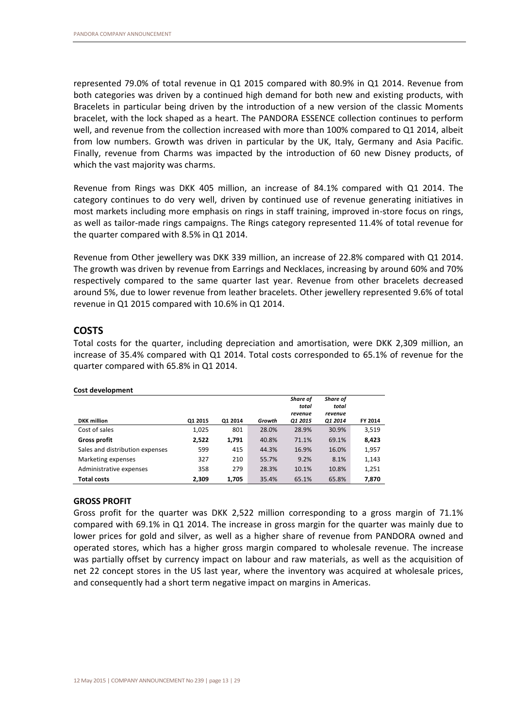represented 79.0% of total revenue in Q1 2015 compared with 80.9% in Q1 2014. Revenue from both categories was driven by a continued high demand for both new and existing products, with Bracelets in particular being driven by the introduction of a new version of the classic Moments bracelet, with the lock shaped as a heart. The PANDORA ESSENCE collection continues to perform well, and revenue from the collection increased with more than 100% compared to Q1 2014, albeit from low numbers. Growth was driven in particular by the UK, Italy, Germany and Asia Pacific. Finally, revenue from Charms was impacted by the introduction of 60 new Disney products, of which the vast majority was charms.

Revenue from Rings was DKK 405 million, an increase of 84.1% compared with Q1 2014. The category continues to do very well, driven by continued use of revenue generating initiatives in most markets including more emphasis on rings in staff training, improved in-store focus on rings, as well as tailor-made rings campaigns. The Rings category represented 11.4% of total revenue for the quarter compared with 8.5% in Q1 2014.

Revenue from Other jewellery was DKK 339 million, an increase of 22.8% compared with Q1 2014. The growth was driven by revenue from Earrings and Necklaces, increasing by around 60% and 70% respectively compared to the same quarter last year. Revenue from other bracelets decreased around 5%, due to lower revenue from leather bracelets. Other jewellery represented 9.6% of total revenue in Q1 2015 compared with 10.6% in Q1 2014.

# **COSTS**

Total costs for the quarter, including depreciation and amortisation, were DKK 2,309 million, an increase of 35.4% compared with Q1 2014. Total costs corresponded to 65.1% of revenue for the quarter compared with 65.8% in Q1 2014.

|                                 |         |         |        | Share of<br>total<br>revenue | Share of<br>total<br>revenue |         |
|---------------------------------|---------|---------|--------|------------------------------|------------------------------|---------|
| <b>DKK</b> million              | Q1 2015 | 01 2014 | Growth | 01 2015                      | <b>Q1 2014</b>               | FY 2014 |
| Cost of sales                   | 1,025   | 801     | 28.0%  | 28.9%                        | 30.9%                        | 3.519   |
| <b>Gross profit</b>             | 2,522   | 1,791   | 40.8%  | 71.1%                        | 69.1%                        | 8,423   |
| Sales and distribution expenses | 599     | 415     | 44.3%  | 16.9%                        | 16.0%                        | 1,957   |
| Marketing expenses              | 327     | 210     | 55.7%  | 9.2%                         | 8.1%                         | 1,143   |
| Administrative expenses         | 358     | 279     | 28.3%  | 10.1%                        | 10.8%                        | 1,251   |
| <b>Total costs</b>              | 2.309   | 1,705   | 35.4%  | 65.1%                        | 65.8%                        | 7,870   |

#### **Cost development**

# **GROSS PROFIT**

Gross profit for the quarter was DKK 2,522 million corresponding to a gross margin of 71.1% compared with 69.1% in Q1 2014. The increase in gross margin for the quarter was mainly due to lower prices for gold and silver, as well as a higher share of revenue from PANDORA owned and operated stores, which has a higher gross margin compared to wholesale revenue. The increase was partially offset by currency impact on labour and raw materials, as well as the acquisition of net 22 concept stores in the US last year, where the inventory was acquired at wholesale prices, and consequently had a short term negative impact on margins in Americas.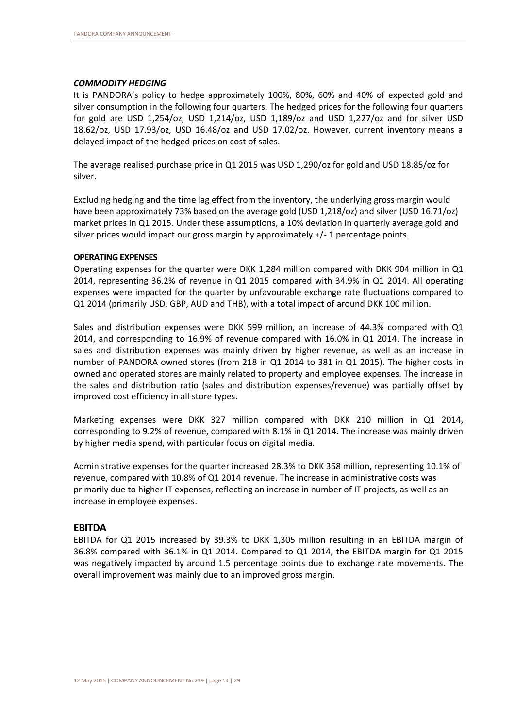# *COMMODITY HEDGING*

It is PANDORA's policy to hedge approximately 100%, 80%, 60% and 40% of expected gold and silver consumption in the following four quarters. The hedged prices for the following four quarters for gold are USD 1,254/oz, USD 1,214/oz, USD 1,189/oz and USD 1,227/oz and for silver USD 18.62/oz, USD 17.93/oz, USD 16.48/oz and USD 17.02/oz. However, current inventory means a delayed impact of the hedged prices on cost of sales.

The average realised purchase price in Q1 2015 was USD 1,290/oz for gold and USD 18.85/oz for silver.

Excluding hedging and the time lag effect from the inventory, the underlying gross margin would have been approximately 73% based on the average gold (USD 1,218/oz) and silver (USD 16.71/oz) market prices in Q1 2015. Under these assumptions, a 10% deviation in quarterly average gold and silver prices would impact our gross margin by approximately +/- 1 percentage points.

# **OPERATING EXPENSES**

Operating expenses for the quarter were DKK 1,284 million compared with DKK 904 million in Q1 2014, representing 36.2% of revenue in Q1 2015 compared with 34.9% in Q1 2014. All operating expenses were impacted for the quarter by unfavourable exchange rate fluctuations compared to Q1 2014 (primarily USD, GBP, AUD and THB), with a total impact of around DKK 100 million.

Sales and distribution expenses were DKK 599 million, an increase of 44.3% compared with Q1 2014, and corresponding to 16.9% of revenue compared with 16.0% in Q1 2014. The increase in sales and distribution expenses was mainly driven by higher revenue, as well as an increase in number of PANDORA owned stores (from 218 in Q1 2014 to 381 in Q1 2015). The higher costs in owned and operated stores are mainly related to property and employee expenses. The increase in the sales and distribution ratio (sales and distribution expenses/revenue) was partially offset by improved cost efficiency in all store types.

Marketing expenses were DKK 327 million compared with DKK 210 million in Q1 2014, corresponding to 9.2% of revenue, compared with 8.1% in Q1 2014. The increase was mainly driven by higher media spend, with particular focus on digital media.

Administrative expenses for the quarter increased 28.3% to DKK 358 million, representing 10.1% of revenue, compared with 10.8% of Q1 2014 revenue. The increase in administrative costs was primarily due to higher IT expenses, reflecting an increase in number of IT projects, as well as an increase in employee expenses.

# **EBITDA**

EBITDA for Q1 2015 increased by 39.3% to DKK 1,305 million resulting in an EBITDA margin of 36.8% compared with 36.1% in Q1 2014. Compared to Q1 2014, the EBITDA margin for Q1 2015 was negatively impacted by around 1.5 percentage points due to exchange rate movements. The overall improvement was mainly due to an improved gross margin.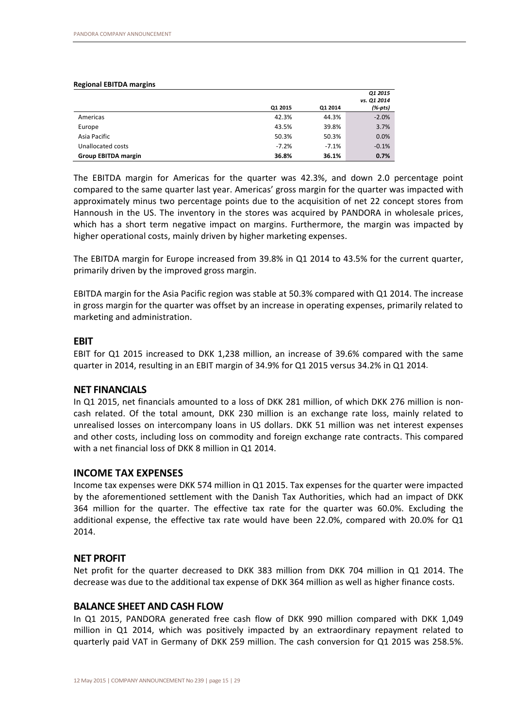#### **Regional EBITDA margins**

|                            |         |         | 01 2015     |
|----------------------------|---------|---------|-------------|
|                            |         |         | vs. Q1 2014 |
|                            | Q1 2015 | Q1 2014 | (%-pts)     |
| Americas                   | 42.3%   | 44.3%   | $-2.0%$     |
| Europe                     | 43.5%   | 39.8%   | 3.7%        |
| Asia Pacific               | 50.3%   | 50.3%   | 0.0%        |
| Unallocated costs          | $-7.2%$ | $-7.1%$ | $-0.1%$     |
| <b>Group EBITDA margin</b> | 36.8%   | 36.1%   | 0.7%        |

The EBITDA margin for Americas for the quarter was 42.3%, and down 2.0 percentage point compared to the same quarter last year. Americas' gross margin for the quarter was impacted with approximately minus two percentage points due to the acquisition of net 22 concept stores from Hannoush in the US. The inventory in the stores was acquired by PANDORA in wholesale prices, which has a short term negative impact on margins. Furthermore, the margin was impacted by higher operational costs, mainly driven by higher marketing expenses.

The EBITDA margin for Europe increased from 39.8% in Q1 2014 to 43.5% for the current quarter, primarily driven by the improved gross margin.

EBITDA margin for the Asia Pacific region was stable at 50.3% compared with Q1 2014. The increase in gross margin for the quarter was offset by an increase in operating expenses, primarily related to marketing and administration.

# **EBIT**

EBIT for Q1 2015 increased to DKK 1,238 million, an increase of 39.6% compared with the same quarter in 2014, resulting in an EBIT margin of 34.9% for Q1 2015 versus 34.2% in Q1 2014.

# **NET FINANCIALS**

In Q1 2015, net financials amounted to a loss of DKK 281 million, of which DKK 276 million is noncash related. Of the total amount, DKK 230 million is an exchange rate loss, mainly related to unrealised losses on intercompany loans in US dollars. DKK 51 million was net interest expenses and other costs, including loss on commodity and foreign exchange rate contracts. This compared with a net financial loss of DKK 8 million in Q1 2014.

# **INCOME TAX EXPENSES**

Income tax expenses were DKK 574 million in Q1 2015. Tax expenses for the quarter were impacted by the aforementioned settlement with the Danish Tax Authorities, which had an impact of DKK 364 million for the quarter. The effective tax rate for the quarter was 60.0%. Excluding the additional expense, the effective tax rate would have been 22.0%, compared with 20.0% for Q1 2014.

# **NET PROFIT**

Net profit for the quarter decreased to DKK 383 million from DKK 704 million in Q1 2014. The decrease was due to the additional tax expense of DKK 364 million as well as higher finance costs.

# **BALANCE SHEET AND CASH FLOW**

In Q1 2015, PANDORA generated free cash flow of DKK 990 million compared with DKK 1,049 million in Q1 2014, which was positively impacted by an extraordinary repayment related to quarterly paid VAT in Germany of DKK 259 million. The cash conversion for Q1 2015 was 258.5%.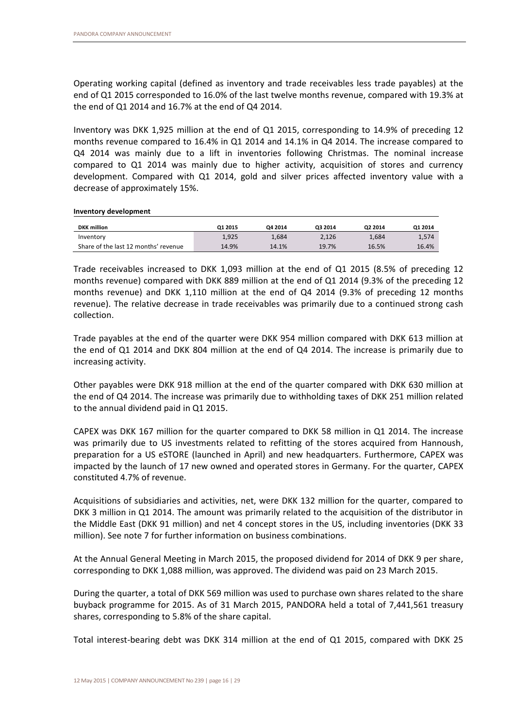Operating working capital (defined as inventory and trade receivables less trade payables) at the end of Q1 2015 corresponded to 16.0% of the last twelve months revenue, compared with 19.3% at the end of Q1 2014 and 16.7% at the end of Q4 2014.

Inventory was DKK 1,925 million at the end of Q1 2015, corresponding to 14.9% of preceding 12 months revenue compared to 16.4% in Q1 2014 and 14.1% in Q4 2014. The increase compared to Q4 2014 was mainly due to a lift in inventories following Christmas. The nominal increase compared to Q1 2014 was mainly due to higher activity, acquisition of stores and currency development. Compared with Q1 2014, gold and silver prices affected inventory value with a decrease of approximately 15%.

**Inventory development**

| <b>DKK</b> million                   | Q1 2015 | Q4 2014 | Q3 2014 | Q2 2014 | 01 2014 |
|--------------------------------------|---------|---------|---------|---------|---------|
| Inventory                            | 1,925   | 1.684   | 2,126   | 1.684   | 1,574   |
| Share of the last 12 months' revenue | 14.9%   | 14.1%   | 19.7%   | 16.5%   | 16.4%   |

Trade receivables increased to DKK 1,093 million at the end of Q1 2015 (8.5% of preceding 12 months revenue) compared with DKK 889 million at the end of Q1 2014 (9.3% of the preceding 12 months revenue) and DKK 1,110 million at the end of Q4 2014 (9.3% of preceding 12 months revenue). The relative decrease in trade receivables was primarily due to a continued strong cash collection.

Trade payables at the end of the quarter were DKK 954 million compared with DKK 613 million at the end of Q1 2014 and DKK 804 million at the end of Q4 2014. The increase is primarily due to increasing activity.

Other payables were DKK 918 million at the end of the quarter compared with DKK 630 million at the end of Q4 2014. The increase was primarily due to withholding taxes of DKK 251 million related to the annual dividend paid in Q1 2015.

CAPEX was DKK 167 million for the quarter compared to DKK 58 million in Q1 2014. The increase was primarily due to US investments related to refitting of the stores acquired from Hannoush, preparation for a US eSTORE (launched in April) and new headquarters. Furthermore, CAPEX was impacted by the launch of 17 new owned and operated stores in Germany. For the quarter, CAPEX constituted 4.7% of revenue.

Acquisitions of subsidiaries and activities, net, were DKK 132 million for the quarter, compared to DKK 3 million in Q1 2014. The amount was primarily related to the acquisition of the distributor in the Middle East (DKK 91 million) and net 4 concept stores in the US, including inventories (DKK 33 million). See note 7 for further information on business combinations.

At the Annual General Meeting in March 2015, the proposed dividend for 2014 of DKK 9 per share, corresponding to DKK 1,088 million, was approved. The dividend was paid on 23 March 2015.

During the quarter, a total of DKK 569 million was used to purchase own shares related to the share buyback programme for 2015. As of 31 March 2015, PANDORA held a total of 7,441,561 treasury shares, corresponding to 5.8% of the share capital.

Total interest-bearing debt was DKK 314 million at the end of Q1 2015, compared with DKK 25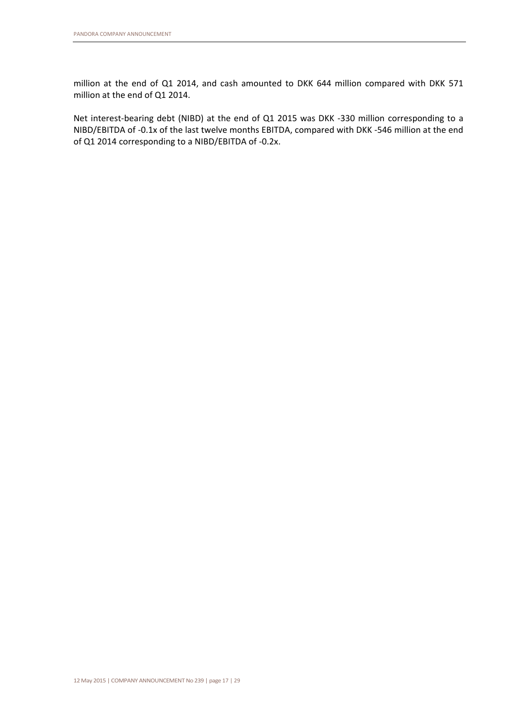million at the end of Q1 2014, and cash amounted to DKK 644 million compared with DKK 571 million at the end of Q1 2014.

Net interest-bearing debt (NIBD) at the end of Q1 2015 was DKK -330 million corresponding to a NIBD/EBITDA of -0.1x of the last twelve months EBITDA, compared with DKK -546 million at the end of Q1 2014 corresponding to a NIBD/EBITDA of -0.2x.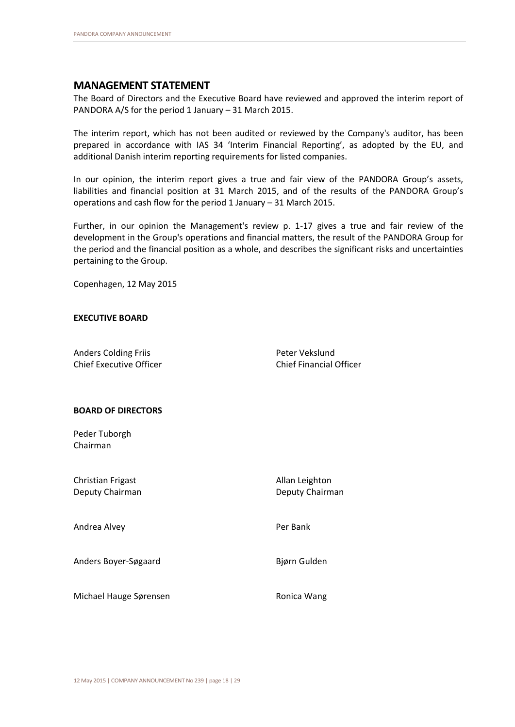# **MANAGEMENT STATEMENT**

The Board of Directors and the Executive Board have reviewed and approved the interim report of PANDORA A/S for the period 1 January – 31 March 2015.

The interim report, which has not been audited or reviewed by the Company's auditor, has been prepared in accordance with IAS 34 'Interim Financial Reporting', as adopted by the EU, and additional Danish interim reporting requirements for listed companies.

In our opinion, the interim report gives a true and fair view of the PANDORA Group's assets, liabilities and financial position at 31 March 2015, and of the results of the PANDORA Group's operations and cash flow for the period 1 January – 31 March 2015.

Further, in our opinion the Management's review p. 1-17 gives a true and fair review of the development in the Group's operations and financial matters, the result of the PANDORA Group for the period and the financial position as a whole, and describes the significant risks and uncertainties pertaining to the Group.

Copenhagen, 12 May 2015

#### **EXECUTIVE BOARD**

Anders Colding Friis **Peter Vekslund** Chief Executive Officer Chief Financial Officer

# **BOARD OF DIRECTORS**

Peder Tuborgh Chairman

| Christian Frigast<br>Deputy Chairman | Allan Leighton<br>Deputy Chairman |
|--------------------------------------|-----------------------------------|
| Andrea Alvey                         | Per Bank                          |
| Anders Boyer-Søgaard                 | Bjørn Gulden                      |
| Michael Hauge Sørensen               | Ronica Wang                       |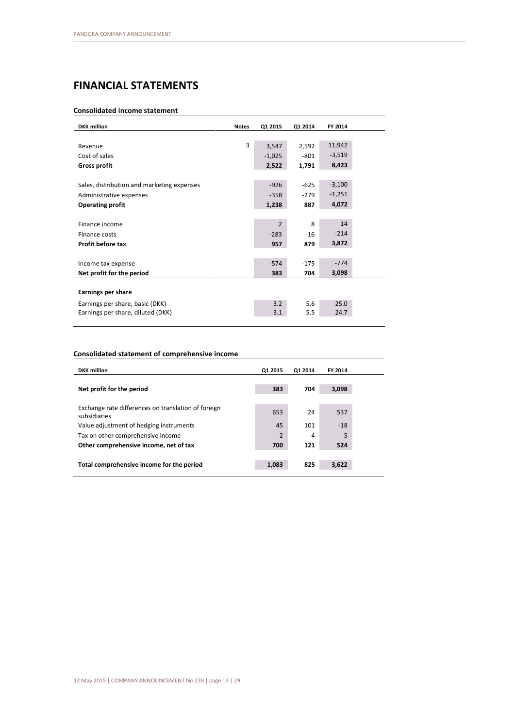# **FINANCIAL STATEMENTS**

# **Consolidated income statement**

| 3<br>11,942<br>3,547<br>2,592<br>Revenue<br>$-3,519$<br>Cost of sales<br>$-801$<br>$-1,025$<br>8,423<br>2,522<br><b>Gross profit</b><br>1,791<br>$-3,100$<br>$-926$<br>$-625$<br>Sales, distribution and marketing expenses<br>$-1,251$<br>$-279$<br>$-358$<br>Administrative expenses<br>4,072<br>887<br>1,238<br><b>Operating profit</b><br>14<br>$\mathfrak{p}$<br>8<br>Finance income<br>$-214$<br>$-283$<br>$-16$<br>Finance costs<br>3,872<br>Profit before tax<br>957<br>879<br>$-774$<br>$-574$<br>$-175$<br>Income tax expense<br>3,098<br>Net profit for the period<br>383<br>704<br><b>Earnings per share</b><br>3.2<br>5.6<br>25.0<br>Earnings per share, basic (DKK)<br>24.7<br>Earnings per share, diluted (DKK)<br>3.1<br>5.5 | <b>DKK</b> million | <b>Notes</b> | Q1 2015 | Q1 2014 | FY 2014 |
|----------------------------------------------------------------------------------------------------------------------------------------------------------------------------------------------------------------------------------------------------------------------------------------------------------------------------------------------------------------------------------------------------------------------------------------------------------------------------------------------------------------------------------------------------------------------------------------------------------------------------------------------------------------------------------------------------------------------------------------------|--------------------|--------------|---------|---------|---------|
|                                                                                                                                                                                                                                                                                                                                                                                                                                                                                                                                                                                                                                                                                                                                              |                    |              |         |         |         |
|                                                                                                                                                                                                                                                                                                                                                                                                                                                                                                                                                                                                                                                                                                                                              |                    |              |         |         |         |
|                                                                                                                                                                                                                                                                                                                                                                                                                                                                                                                                                                                                                                                                                                                                              |                    |              |         |         |         |
|                                                                                                                                                                                                                                                                                                                                                                                                                                                                                                                                                                                                                                                                                                                                              |                    |              |         |         |         |
|                                                                                                                                                                                                                                                                                                                                                                                                                                                                                                                                                                                                                                                                                                                                              |                    |              |         |         |         |
|                                                                                                                                                                                                                                                                                                                                                                                                                                                                                                                                                                                                                                                                                                                                              |                    |              |         |         |         |
|                                                                                                                                                                                                                                                                                                                                                                                                                                                                                                                                                                                                                                                                                                                                              |                    |              |         |         |         |
|                                                                                                                                                                                                                                                                                                                                                                                                                                                                                                                                                                                                                                                                                                                                              |                    |              |         |         |         |
|                                                                                                                                                                                                                                                                                                                                                                                                                                                                                                                                                                                                                                                                                                                                              |                    |              |         |         |         |
|                                                                                                                                                                                                                                                                                                                                                                                                                                                                                                                                                                                                                                                                                                                                              |                    |              |         |         |         |
|                                                                                                                                                                                                                                                                                                                                                                                                                                                                                                                                                                                                                                                                                                                                              |                    |              |         |         |         |
|                                                                                                                                                                                                                                                                                                                                                                                                                                                                                                                                                                                                                                                                                                                                              |                    |              |         |         |         |
|                                                                                                                                                                                                                                                                                                                                                                                                                                                                                                                                                                                                                                                                                                                                              |                    |              |         |         |         |
|                                                                                                                                                                                                                                                                                                                                                                                                                                                                                                                                                                                                                                                                                                                                              |                    |              |         |         |         |
|                                                                                                                                                                                                                                                                                                                                                                                                                                                                                                                                                                                                                                                                                                                                              |                    |              |         |         |         |
|                                                                                                                                                                                                                                                                                                                                                                                                                                                                                                                                                                                                                                                                                                                                              |                    |              |         |         |         |
|                                                                                                                                                                                                                                                                                                                                                                                                                                                                                                                                                                                                                                                                                                                                              |                    |              |         |         |         |
|                                                                                                                                                                                                                                                                                                                                                                                                                                                                                                                                                                                                                                                                                                                                              |                    |              |         |         |         |
|                                                                                                                                                                                                                                                                                                                                                                                                                                                                                                                                                                                                                                                                                                                                              |                    |              |         |         |         |

### **Consolidated statement of comprehensive income**

| <b>DKK</b> million                                                  | Q1 2015        | Q1 2014 | FY 2014 |
|---------------------------------------------------------------------|----------------|---------|---------|
|                                                                     |                |         |         |
| Net profit for the period                                           | 383            | 704     | 3,098   |
|                                                                     |                |         |         |
| Exchange rate differences on translation of foreign<br>subsidiaries | 653            | 24      | 537     |
| Value adjustment of hedging instruments                             | 45             | 101     | $-18$   |
| Tax on other comprehensive income                                   | $\overline{2}$ | -4      | 5       |
| Other comprehensive income, net of tax                              | 700            | 121     | 524     |
|                                                                     |                |         |         |
| Total comprehensive income for the period                           | 1,083          | 825     | 3,622   |
|                                                                     |                |         |         |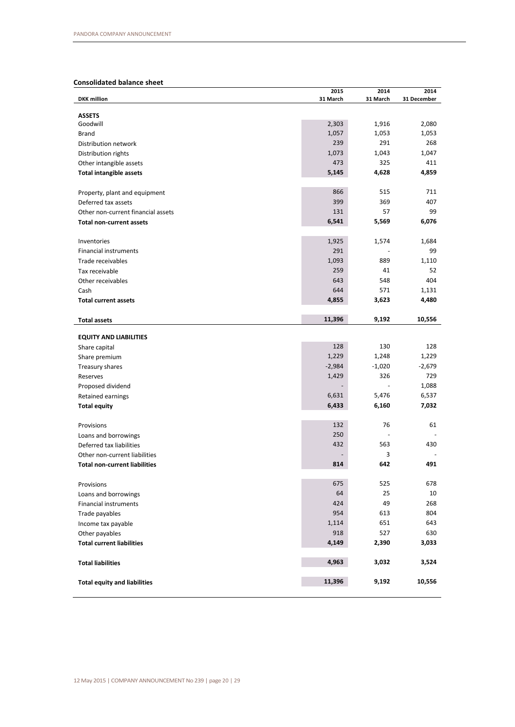# **Consolidated balance sheet**

|                                                                       | 2015     | 2014     | 2014            |
|-----------------------------------------------------------------------|----------|----------|-----------------|
| <b>DKK</b> million                                                    | 31 March | 31 March | 31 December     |
| <b>ASSETS</b>                                                         |          |          |                 |
| Goodwill                                                              | 2,303    | 1,916    | 2,080           |
| <b>Brand</b>                                                          | 1,057    | 1,053    | 1,053           |
| Distribution network                                                  | 239      | 291      | 268             |
| Distribution rights                                                   | 1,073    | 1,043    | 1,047           |
| Other intangible assets                                               | 473      | 325      | 411             |
| <b>Total intangible assets</b>                                        | 5,145    | 4,628    | 4,859           |
|                                                                       |          |          |                 |
| Property, plant and equipment                                         | 866      | 515      | 711             |
| Deferred tax assets                                                   | 399      | 369      | 407             |
| Other non-current financial assets                                    | 131      | 57       | 99              |
| <b>Total non-current assets</b>                                       | 6,541    | 5,569    | 6,076           |
|                                                                       |          |          |                 |
| Inventories                                                           | 1,925    | 1,574    | 1,684           |
| Financial instruments                                                 | 291      |          | 99              |
| Trade receivables                                                     | 1,093    | 889      | 1,110           |
| Tax receivable                                                        | 259      | 41       | 52              |
| Other receivables                                                     | 643      | 548      | 404             |
| Cash                                                                  | 644      | 571      | 1,131           |
| <b>Total current assets</b>                                           | 4,855    | 3,623    | 4,480           |
|                                                                       |          |          |                 |
| <b>Total assets</b>                                                   | 11,396   | 9,192    | 10,556          |
|                                                                       |          |          |                 |
| <b>EQUITY AND LIABILITIES</b>                                         |          |          |                 |
| Share capital                                                         | 128      | 130      | 128             |
| Share premium                                                         | 1,229    | 1,248    | 1,229           |
| Treasury shares                                                       | $-2,984$ | $-1,020$ | $-2,679$<br>729 |
| Reserves                                                              | 1,429    | 326      |                 |
| Proposed dividend                                                     |          |          | 1,088           |
| Retained earnings                                                     | 6,631    | 5,476    | 6,537           |
| <b>Total equity</b>                                                   | 6,433    | 6,160    | 7,032           |
|                                                                       | 132      | 76       | 61              |
| Provisions                                                            | 250      |          |                 |
| Loans and borrowings                                                  | 432      | 563      | 430             |
| Deferred tax liabilities                                              |          | 3        |                 |
| Other non-current liabilities<br><b>Total non-current liabilities</b> | 814      | 642      | 491             |
|                                                                       |          |          |                 |
| Provisions                                                            | 675      | 525      | 678             |
| Loans and borrowings                                                  | 64       | 25       | 10              |
| <b>Financial instruments</b>                                          | 424      | 49       | 268             |
| Trade payables                                                        | 954      | 613      | 804             |
| Income tax payable                                                    | 1,114    | 651      | 643             |
| Other payables                                                        | 918      | 527      | 630             |
| <b>Total current liabilities</b>                                      | 4,149    | 2,390    | 3,033           |
|                                                                       |          |          |                 |
| <b>Total liabilities</b>                                              | 4,963    | 3,032    | 3,524           |
|                                                                       |          |          |                 |
| <b>Total equity and liabilities</b>                                   | 11,396   | 9,192    | 10,556          |
|                                                                       |          |          |                 |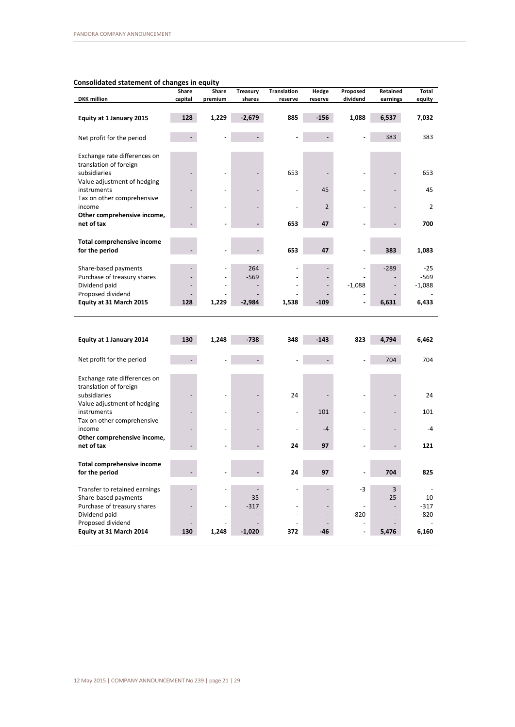### **Consolidated statement of changes in equity**

| consonuateu statement or changes in equity | Share                    | Share                    | <b>Treasury</b> | <b>Translation</b>       | Hedge                    | Proposed                 | Retained | <b>Total</b>   |
|--------------------------------------------|--------------------------|--------------------------|-----------------|--------------------------|--------------------------|--------------------------|----------|----------------|
| <b>DKK</b> million                         | capital                  | premium                  | shares          | reserve                  | reserve                  | dividend                 | earnings | equity         |
|                                            |                          |                          |                 |                          |                          |                          |          |                |
| Equity at 1 January 2015                   | 128                      | 1,229                    | $-2,679$        | 885                      | $-156$                   | 1,088                    | 6,537    | 7,032          |
|                                            |                          |                          |                 |                          |                          |                          | 383      |                |
| Net profit for the period                  |                          |                          |                 |                          |                          |                          |          | 383            |
| Exchange rate differences on               |                          |                          |                 |                          |                          |                          |          |                |
| translation of foreign                     |                          |                          |                 |                          |                          |                          |          |                |
| subsidiaries                               |                          |                          |                 | 653                      |                          |                          |          | 653            |
| Value adjustment of hedging                |                          |                          |                 |                          |                          |                          |          |                |
| instruments                                |                          |                          |                 |                          | 45                       |                          |          | 45             |
| Tax on other comprehensive                 |                          |                          |                 |                          |                          |                          |          |                |
| income                                     |                          |                          |                 |                          | $\overline{2}$           |                          |          | $\overline{2}$ |
| Other comprehensive income,<br>net of tax  |                          |                          |                 | 653                      | 47                       |                          |          | 700            |
|                                            |                          |                          |                 |                          |                          |                          |          |                |
| Total comprehensive income                 |                          |                          |                 |                          |                          |                          |          |                |
| for the period                             |                          |                          |                 | 653                      | 47                       |                          | 383      | 1,083          |
|                                            |                          |                          |                 |                          |                          |                          |          |                |
| Share-based payments                       |                          |                          | 264             |                          |                          |                          | $-289$   | $-25$          |
| Purchase of treasury shares                |                          |                          | $-569$          |                          |                          |                          |          | $-569$         |
| Dividend paid<br>Proposed dividend         |                          |                          |                 |                          |                          | $-1,088$                 |          | $-1,088$       |
| Equity at 31 March 2015                    | 128                      | 1,229                    | $-2,984$        | 1,538                    | $-109$                   |                          | 6,631    | 6,433          |
|                                            |                          |                          |                 |                          |                          |                          |          |                |
|                                            |                          |                          |                 |                          |                          |                          |          |                |
|                                            |                          |                          |                 |                          |                          |                          |          |                |
| Equity at 1 January 2014                   | 130                      | 1,248                    | $-738$          | 348                      | $-143$                   | 823                      | 4,794    | 6,462          |
| Net profit for the period                  |                          |                          |                 |                          |                          |                          | 704      | 704            |
|                                            |                          |                          |                 |                          |                          |                          |          |                |
| Exchange rate differences on               |                          |                          |                 |                          |                          |                          |          |                |
| translation of foreign                     |                          |                          |                 |                          |                          |                          |          |                |
| subsidiaries                               |                          |                          |                 | 24                       |                          |                          |          | 24             |
| Value adjustment of hedging                |                          |                          |                 |                          |                          |                          |          |                |
| instruments                                |                          |                          |                 | $\overline{\phantom{a}}$ | 101                      |                          |          | 101            |
| Tax on other comprehensive                 |                          |                          |                 |                          |                          |                          |          |                |
| income<br>Other comprehensive income,      |                          |                          |                 |                          | $-4$                     |                          |          | $-4$           |
| net of tax                                 |                          |                          |                 | 24                       | 97                       |                          |          | 121            |
|                                            |                          |                          |                 |                          |                          |                          |          |                |
| Total comprehensive income                 |                          |                          |                 |                          |                          |                          |          |                |
| for the period                             |                          |                          |                 | 24                       | 97                       |                          | 704      | 825            |
| Transfer to retained earnings              |                          |                          |                 |                          |                          | $-3$                     | 3        |                |
| Share-based payments                       | $\overline{\phantom{0}}$ | $\overline{\phantom{a}}$ | 35              | $\overline{a}$           | $\overline{\phantom{0}}$ | $\overline{\phantom{a}}$ | $-25$    | 10             |
| Purchase of treasury shares                |                          | $\overline{\phantom{a}}$ | $-317$          | L,                       |                          | $\sim$                   |          | $-317$         |
| Dividend paid                              | $\overline{\phantom{0}}$ | $\overline{\phantom{a}}$ |                 | $\overline{\phantom{a}}$ | $\overline{\phantom{0}}$ | -820                     |          | -820           |
| Proposed dividend                          |                          |                          |                 |                          |                          |                          |          |                |
| Equity at 31 March 2014                    | 130                      | 1,248                    | $-1,020$        | 372                      | -46                      | $\blacksquare$           | 5,476    | 6,160          |
|                                            |                          |                          |                 |                          |                          |                          |          |                |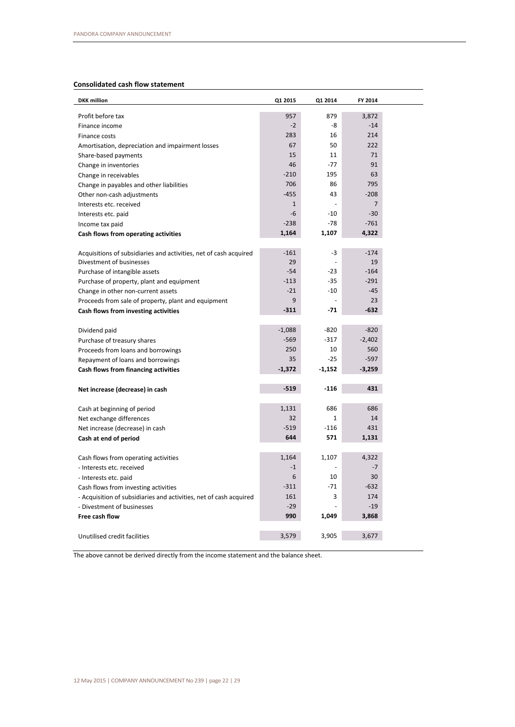# **Consolidated cash flow statement**

| <b>DKK</b> million                                                 | Q1 2015      | Q1 2014      | FY 2014        |  |
|--------------------------------------------------------------------|--------------|--------------|----------------|--|
| Profit before tax                                                  | 957          | 879          | 3,872          |  |
| Finance income                                                     | $-2$         | -8           | $-14$          |  |
| Finance costs                                                      | 283          | 16           | 214            |  |
| Amortisation, depreciation and impairment losses                   | 67           | 50           | 222            |  |
| Share-based payments                                               | 15           | 11           | 71             |  |
| Change in inventories                                              | 46           | $-77$        | 91             |  |
| Change in receivables                                              | $-210$       | 195          | 63             |  |
| Change in payables and other liabilities                           | 706          | 86           | 795            |  |
| Other non-cash adjustments                                         | $-455$       | 43           | $-208$         |  |
| Interests etc. received                                            | $\mathbf{1}$ |              | $\overline{7}$ |  |
| Interests etc. paid                                                | -6           | $-10$        | $-30$          |  |
| Income tax paid                                                    | $-238$       | $-78$        | $-761$         |  |
| Cash flows from operating activities                               | 1,164        | 1,107        | 4,322          |  |
|                                                                    |              |              |                |  |
| Acquisitions of subsidiaries and activities, net of cash acquired  | $-161$       | -3           | $-174$         |  |
| Divestment of businesses                                           | 29           |              | 19             |  |
| Purchase of intangible assets                                      | $-54$        | -23          | $-164$         |  |
| Purchase of property, plant and equipment                          | $-113$       | $-35$        | $-291$         |  |
| Change in other non-current assets                                 | $-21$        | -10          | $-45$          |  |
| Proceeds from sale of property, plant and equipment                | 9            |              | 23             |  |
| Cash flows from investing activities                               | $-311$       | $-71$        | $-632$         |  |
|                                                                    |              |              |                |  |
| Dividend paid                                                      | $-1,088$     | -820         | $-820$         |  |
| Purchase of treasury shares                                        | $-569$       | $-317$       | $-2,402$       |  |
| Proceeds from loans and borrowings                                 | 250          | 10           | 560            |  |
| Repayment of loans and borrowings                                  | 35           | $-25$        | $-597$         |  |
| Cash flows from financing activities                               | $-1,372$     | -1,152       | $-3,259$       |  |
|                                                                    |              |              |                |  |
| Net increase (decrease) in cash                                    | $-519$       | $-116$       | 431            |  |
|                                                                    |              |              |                |  |
| Cash at beginning of period                                        | 1,131        | 686          | 686            |  |
| Net exchange differences                                           | 32           | $\mathbf{1}$ | 14             |  |
| Net increase (decrease) in cash                                    | $-519$       | $-116$       | 431            |  |
| Cash at end of period                                              | 644          | 571          | 1,131          |  |
|                                                                    |              |              |                |  |
| Cash flows from operating activities                               | 1,164        | 1,107        | 4,322          |  |
| - Interests etc. received                                          | $-1$         |              | $-7$           |  |
| - Interests etc. paid                                              | 6            | 10           | 30             |  |
| Cash flows from investing activities                               | $-311$       | $-71$        | $-632$         |  |
| - Acquisition of subsidiaries and activities, net of cash acquired | 161          | 3            | 174            |  |
| - Divestment of businesses                                         | $-29$        |              | $-19$          |  |
| Free cash flow                                                     | 990          | 1,049        | 3,868          |  |
|                                                                    |              |              |                |  |
| Unutilised credit facilities                                       | 3,579        | 3,905        | 3,677          |  |

The above cannot be derived directly from the income statement and the balance sheet.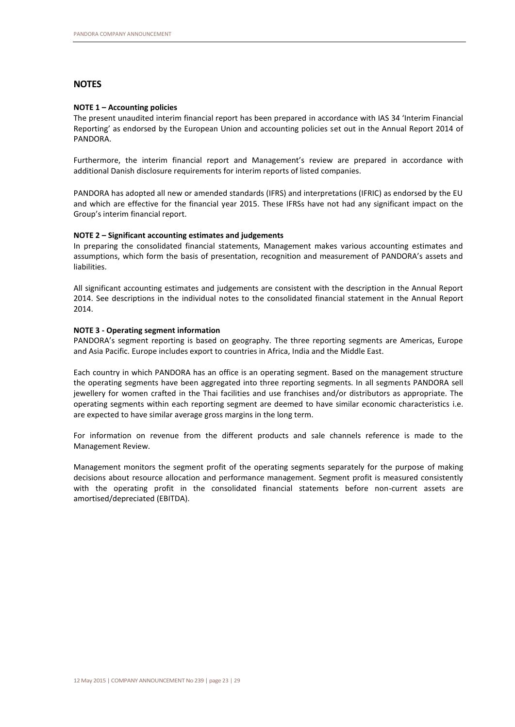# **NOTES**

#### **NOTE 1 – Accounting policies**

The present unaudited interim financial report has been prepared in accordance with IAS 34 'Interim Financial Reporting' as endorsed by the European Union and accounting policies set out in the Annual Report 2014 of PANDORA.

Furthermore, the interim financial report and Management's review are prepared in accordance with additional Danish disclosure requirements for interim reports of listed companies.

PANDORA has adopted all new or amended standards (IFRS) and interpretations (IFRIC) as endorsed by the EU and which are effective for the financial year 2015. These IFRSs have not had any significant impact on the Group's interim financial report.

#### **NOTE 2 – Significant accounting estimates and judgements**

In preparing the consolidated financial statements, Management makes various accounting estimates and assumptions, which form the basis of presentation, recognition and measurement of PANDORA's assets and liabilities.

All significant accounting estimates and judgements are consistent with the description in the Annual Report 2014. See descriptions in the individual notes to the consolidated financial statement in the Annual Report 2014.

#### **NOTE 3 - Operating segment information**

PANDORA's segment reporting is based on geography. The three reporting segments are Americas, Europe and Asia Pacific. Europe includes export to countries in Africa, India and the Middle East.

Each country in which PANDORA has an office is an operating segment. Based on the management structure the operating segments have been aggregated into three reporting segments. In all segments PANDORA sell jewellery for women crafted in the Thai facilities and use franchises and/or distributors as appropriate. The operating segments within each reporting segment are deemed to have similar economic characteristics i.e. are expected to have similar average gross margins in the long term.

For information on revenue from the different products and sale channels reference is made to the Management Review.

Management monitors the segment profit of the operating segments separately for the purpose of making decisions about resource allocation and performance management. Segment profit is measured consistently with the operating profit in the consolidated financial statements before non-current assets are amortised/depreciated (EBITDA).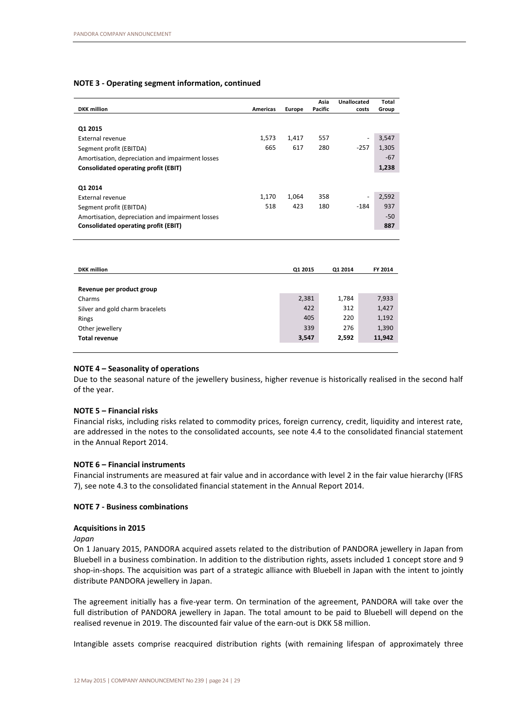#### **NOTE 3 - Operating segment information, continued**

|                                                  |          |        | Asia    | Unallocated              | Total |
|--------------------------------------------------|----------|--------|---------|--------------------------|-------|
| <b>DKK</b> million                               | Americas | Europe | Pacific | costs                    | Group |
|                                                  |          |        |         |                          |       |
| Q1 2015                                          |          |        |         |                          |       |
| External revenue                                 | 1,573    | 1,417  | 557     | $\overline{\phantom{a}}$ | 3,547 |
| Segment profit (EBITDA)                          | 665      | 617    | 280     | $-257$                   | 1,305 |
| Amortisation, depreciation and impairment losses |          |        |         |                          | $-67$ |
| Consolidated operating profit (EBIT)             |          |        |         |                          | 1,238 |
|                                                  |          |        |         |                          |       |
| Q1 2014                                          |          |        |         |                          |       |
| External revenue                                 | 1,170    | 1,064  | 358     | $\overline{\phantom{a}}$ | 2,592 |
| Segment profit (EBITDA)                          | 518      | 423    | 180     | $-184$                   | 937   |
| Amortisation, depreciation and impairment losses |          |        |         |                          | $-50$ |
| Consolidated operating profit (EBIT)             |          |        |         |                          | 887   |

| <b>DKK</b> million              | Q1 2015 | Q1 2014 | FY 2014 |
|---------------------------------|---------|---------|---------|
|                                 |         |         |         |
| Revenue per product group       |         |         |         |
| Charms                          | 2,381   | 1,784   | 7,933   |
| Silver and gold charm bracelets | 422     | 312     | 1,427   |
| Rings                           | 405     | 220     | 1,192   |
| Other jewellery                 | 339     | 276     | 1,390   |
| <b>Total revenue</b>            | 3,547   | 2,592   | 11,942  |
|                                 |         |         |         |

#### **NOTE 4 – Seasonality of operations**

Due to the seasonal nature of the jewellery business, higher revenue is historically realised in the second half of the year.

#### **NOTE 5 – Financial risks**

Financial risks, including risks related to commodity prices, foreign currency, credit, liquidity and interest rate, are addressed in the notes to the consolidated accounts, see note 4.4 to the consolidated financial statement in the Annual Report 2014.

#### **NOTE 6 – Financial instruments**

Financial instruments are measured at fair value and in accordance with level 2 in the fair value hierarchy (IFRS 7), see note 4.3 to the consolidated financial statement in the Annual Report 2014.

#### **NOTE 7 - Business combinations**

#### **Acquisitions in 2015**

*Japan*

On 1 January 2015, PANDORA acquired assets related to the distribution of PANDORA jewellery in Japan from Bluebell in a business combination. In addition to the distribution rights, assets included 1 concept store and 9 shop-in-shops. The acquisition was part of a strategic alliance with Bluebell in Japan with the intent to jointly distribute PANDORA jewellery in Japan.

The agreement initially has a five-year term. On termination of the agreement, PANDORA will take over the full distribution of PANDORA jewellery in Japan. The total amount to be paid to Bluebell will depend on the realised revenue in 2019. The discounted fair value of the earn-out is DKK 58 million.

Intangible assets comprise reacquired distribution rights (with remaining lifespan of approximately three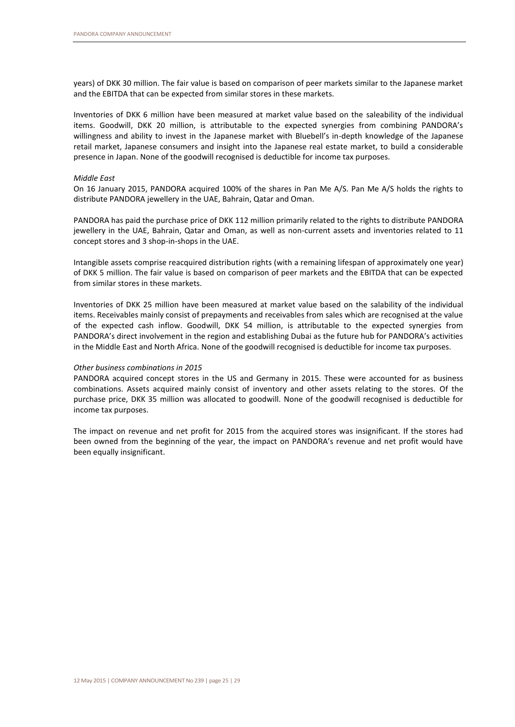years) of DKK 30 million. The fair value is based on comparison of peer markets similar to the Japanese market and the EBITDA that can be expected from similar stores in these markets.

Inventories of DKK 6 million have been measured at market value based on the saleability of the individual items. Goodwill, DKK 20 million, is attributable to the expected synergies from combining PANDORA's willingness and ability to invest in the Japanese market with Bluebell's in-depth knowledge of the Japanese retail market, Japanese consumers and insight into the Japanese real estate market, to build a considerable presence in Japan. None of the goodwill recognised is deductible for income tax purposes.

#### *Middle East*

On 16 January 2015, PANDORA acquired 100% of the shares in Pan Me A/S. Pan Me A/S holds the rights to distribute PANDORA jewellery in the UAE, Bahrain, Qatar and Oman.

PANDORA has paid the purchase price of DKK 112 million primarily related to the rights to distribute PANDORA jewellery in the UAE, Bahrain, Qatar and Oman, as well as non-current assets and inventories related to 11 concept stores and 3 shop-in-shops in the UAE.

Intangible assets comprise reacquired distribution rights (with a remaining lifespan of approximately one year) of DKK 5 million. The fair value is based on comparison of peer markets and the EBITDA that can be expected from similar stores in these markets.

Inventories of DKK 25 million have been measured at market value based on the salability of the individual items. Receivables mainly consist of prepayments and receivables from sales which are recognised at the value of the expected cash inflow. Goodwill, DKK 54 million, is attributable to the expected synergies from PANDORA's direct involvement in the region and establishing Dubai as the future hub for PANDORA's activities in the Middle East and North Africa. None of the goodwill recognised is deductible for income tax purposes.

#### *Other business combinations in 2015*

PANDORA acquired concept stores in the US and Germany in 2015. These were accounted for as business combinations. Assets acquired mainly consist of inventory and other assets relating to the stores. Of the purchase price, DKK 35 million was allocated to goodwill. None of the goodwill recognised is deductible for income tax purposes.

The impact on revenue and net profit for 2015 from the acquired stores was insignificant. If the stores had been owned from the beginning of the year, the impact on PANDORA's revenue and net profit would have been equally insignificant.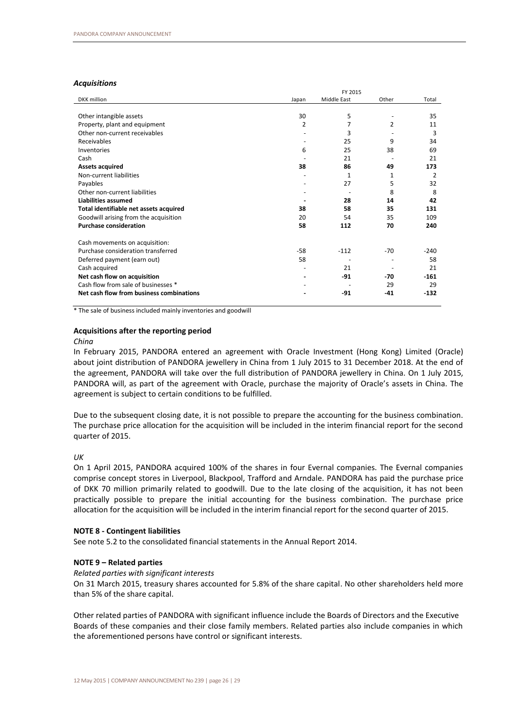#### *Acquisitions*

|                                          | FY 2015        |                    |                |        |
|------------------------------------------|----------------|--------------------|----------------|--------|
| <b>DKK</b> million                       | Japan          | <b>Middle East</b> | Other          | Total  |
|                                          |                |                    |                |        |
| Other intangible assets                  | 30             | 5                  |                | 35     |
| Property, plant and equipment            | $\overline{2}$ | 7                  | $\overline{2}$ | 11     |
| Other non-current receivables            |                | 3                  |                | 3      |
| Receivables                              |                | 25                 | 9              | 34     |
| Inventories                              | 6              | 25                 | 38             | 69     |
| Cash                                     |                | 21                 |                | 21     |
| <b>Assets acquired</b>                   | 38             | 86                 | 49             | 173    |
| Non-current liabilities                  |                | $\mathbf{1}$       | 1              | 2      |
| Payables                                 |                | 27                 | 5              | 32     |
| Other non-current liabilities            |                |                    | 8              | 8      |
| Liabilities assumed                      |                | 28                 | 14             | 42     |
| Total identifiable net assets acquired   | 38             | 58                 | 35             | 131    |
| Goodwill arising from the acquisition    | 20             | 54                 | 35             | 109    |
| <b>Purchase consideration</b>            | 58             | 112                | 70             | 240    |
| Cash movements on acquisition:           |                |                    |                |        |
| Purchase consideration transferred       | $-58$          | $-112$             | $-70$          | $-240$ |
| Deferred payment (earn out)              | 58             |                    |                | 58     |
| Cash acquired                            |                | 21                 |                | 21     |
| Net cash flow on acquisition             |                | $-91$              | $-70$          | $-161$ |
| Cash flow from sale of businesses *      |                |                    | 29             | 29     |
| Net cash flow from business combinations |                | -91                | $-41$          | $-132$ |
|                                          |                |                    |                |        |

\* The sale of business included mainly inventories and goodwill

#### **Acquisitions after the reporting period**

#### *China*

In February 2015, PANDORA entered an agreement with Oracle Investment (Hong Kong) Limited (Oracle) about joint distribution of PANDORA jewellery in China from 1 July 2015 to 31 December 2018. At the end of the agreement, PANDORA will take over the full distribution of PANDORA jewellery in China. On 1 July 2015, PANDORA will, as part of the agreement with Oracle, purchase the majority of Oracle's assets in China. The agreement is subject to certain conditions to be fulfilled.

Due to the subsequent closing date, it is not possible to prepare the accounting for the business combination. The purchase price allocation for the acquisition will be included in the interim financial report for the second quarter of 2015.

#### *UK*

On 1 April 2015, PANDORA acquired 100% of the shares in four Evernal companies. The Evernal companies comprise concept stores in Liverpool, Blackpool, Trafford and Arndale. PANDORA has paid the purchase price of DKK 70 million primarily related to goodwill. Due to the late closing of the acquisition, it has not been practically possible to prepare the initial accounting for the business combination. The purchase price allocation for the acquisition will be included in the interim financial report for the second quarter of 2015.

#### **NOTE 8 - Contingent liabilities**

See note 5.2 to the consolidated financial statements in the Annual Report 2014.

#### **NOTE 9 – Related parties**

#### *Related parties with significant interests*

On 31 March 2015, treasury shares accounted for 5.8% of the share capital. No other shareholders held more than 5% of the share capital.

Other related parties of PANDORA with significant influence include the Boards of Directors and the Executive Boards of these companies and their close family members. Related parties also include companies in which the aforementioned persons have control or significant interests.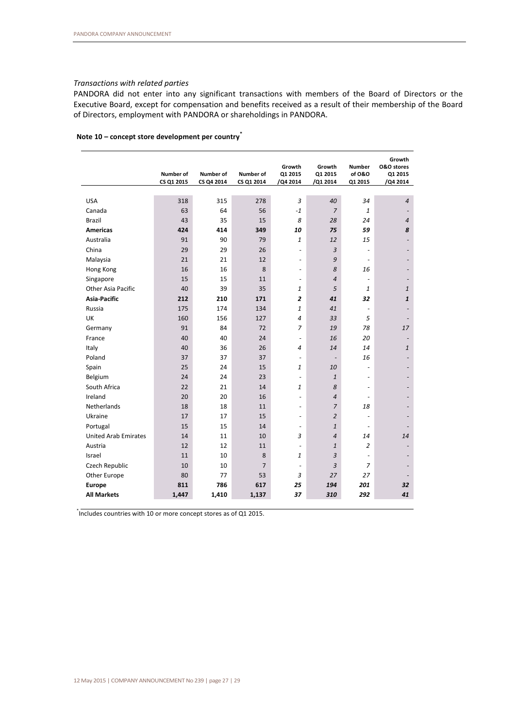# *Transactions with related parties*

PANDORA did not enter into any significant transactions with members of the Board of Directors or the Executive Board, except for compensation and benefits received as a result of their membership of the Board of Directors, employment with PANDORA or shareholdings in PANDORA.

|                             | Number of  | Number of  | Number of      | Growth<br>Q1 2015        | Growth<br>Q1 2015        | <b>Number</b><br>of 0&0  | Growth<br><b>O&amp;O</b> stores<br>Q1 2015 |
|-----------------------------|------------|------------|----------------|--------------------------|--------------------------|--------------------------|--------------------------------------------|
|                             | CS Q1 2015 | CS Q4 2014 | CS Q1 2014     | /Q4 2014                 | /Q1 2014                 | Q1 2015                  | /Q4 2014                                   |
|                             |            |            |                |                          |                          |                          |                                            |
| <b>USA</b>                  | 318        | 315        | 278            | 3                        | 40                       | 34                       | $\overline{4}$                             |
| Canada                      | 63         | 64         | 56             | $-1$                     | $\overline{7}$           | $\mathbf{1}$             |                                            |
| <b>Brazil</b>               | 43         | 35         | 15             | 8                        | 28                       | 24                       | $\overline{4}$                             |
| <b>Americas</b>             | 424        | 414        | 349            | 10                       | 75                       | 59                       | 8                                          |
| Australia                   | 91         | 90         | 79             | 1                        | 12                       | 15                       |                                            |
| China                       | 29         | 29         | 26             | $\frac{1}{2}$            | $\overline{3}$           |                          |                                            |
| Malaysia                    | 21         | 21         | 12             | $\overline{a}$           | 9                        |                          |                                            |
| Hong Kong                   | 16         | 16         | 8              | $\overline{\phantom{a}}$ | 8                        | 16                       |                                            |
| Singapore                   | 15         | 15         | 11             | $\blacksquare$           | $\overline{4}$           | $\overline{\phantom{a}}$ |                                            |
| <b>Other Asia Pacific</b>   | 40         | 39         | 35             | 1                        | 5                        | $\mathbf{1}$             | $\mathbf{1}$                               |
| <b>Asia-Pacific</b>         | 212        | 210        | 171            | 2                        | 41                       | 32                       | $\mathbf{1}$                               |
| Russia                      | 175        | 174        | 134            | $\mathbf{1}$             | 41                       | $\overline{\phantom{a}}$ |                                            |
| UK                          | 160        | 156        | 127            | 4                        | 33                       | 5                        |                                            |
| Germany                     | 91         | 84         | 72             | $\overline{z}$           | 19                       | 78                       | 17                                         |
| France                      | 40         | 40         | 24             | $\overline{\phantom{a}}$ | 16                       | 20                       |                                            |
| Italy                       | 40         | 36         | 26             | 4                        | 14                       | 14                       | $\mathbf{1}$                               |
| Poland                      | 37         | 37         | 37             | $\overline{\phantom{a}}$ | $\overline{\phantom{a}}$ | 16                       |                                            |
| Spain                       | 25         | 24         | 15             | $\mathbf{1}$             | 10                       | $\overline{\phantom{a}}$ |                                            |
| Belgium                     | 24         | 24         | 23             | $\overline{\phantom{a}}$ | $\mathbf{1}$             | L,                       |                                            |
| South Africa                | 22         | 21         | 14             | $\mathbf{1}$             | 8                        | $\sim$                   |                                            |
| Ireland                     | 20         | 20         | 16             | $\overline{\phantom{a}}$ | $\overline{a}$           | $\sim$                   |                                            |
| <b>Netherlands</b>          | 18         | 18         | 11             | $\frac{1}{2}$            | $\overline{7}$           | 18                       |                                            |
| Ukraine                     | 17         | 17         | 15             | $\overline{\phantom{a}}$ | $\overline{2}$           | $\sim$                   |                                            |
| Portugal                    | 15         | 15         | 14             | $\overline{\phantom{a}}$ | $\mathbf{1}$             | $\overline{\phantom{a}}$ |                                            |
| <b>United Arab Emirates</b> | 14         | 11         | 10             | 3                        | $\overline{4}$           | 14                       | 14                                         |
| Austria                     | 12         | 12         | 11             | $\overline{\phantom{a}}$ | $\mathbf{1}$             | $\overline{2}$           |                                            |
| Israel                      | 11         | 10         | 8              | 1                        | $\overline{3}$           | $\blacksquare$           |                                            |
| Czech Republic              | 10         | 10         | $\overline{7}$ | $\overline{\phantom{a}}$ | 3                        | $\overline{z}$           |                                            |
| Other Europe                | 80         | 77         | 53             | 3                        | 27                       | 27                       |                                            |
| <b>Europe</b>               | 811        | 786        | 617            | 25                       | 194                      | 201                      | 32                                         |
| <b>All Markets</b>          | 1,447      | 1,410      | 1,137          | 37                       | 310                      | 292                      | 41                                         |

### **Note 10 – concept store development per country\***

\* Includes countries with 10 or more concept stores as of Q1 2015.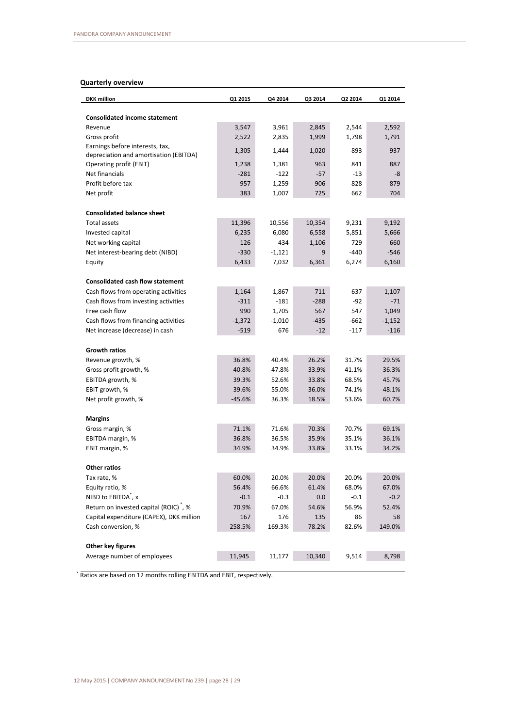# **Quarterly overview**

| <b>DKK</b> million                                 | Q1 2015  | Q4 2014  | Q3 2014 | Q2 2014 | Q1 2014  |
|----------------------------------------------------|----------|----------|---------|---------|----------|
| <b>Consolidated income statement</b>               |          |          |         |         |          |
| Revenue                                            | 3,547    | 3,961    | 2,845   | 2,544   | 2,592    |
| Gross profit                                       | 2,522    | 2,835    | 1,999   | 1,798   | 1,791    |
| Earnings before interests, tax,                    |          |          |         |         |          |
| depreciation and amortisation (EBITDA)             | 1,305    | 1,444    | 1,020   | 893     | 937      |
| Operating profit (EBIT)                            | 1,238    | 1,381    | 963     | 841     | 887      |
| Net financials                                     | $-281$   | $-122$   | $-57$   | $-13$   | -8       |
| Profit before tax                                  | 957      | 1,259    | 906     | 828     | 879      |
| Net profit                                         | 383      | 1,007    | 725     | 662     | 704      |
| <b>Consolidated balance sheet</b>                  |          |          |         |         |          |
| Total assets                                       | 11,396   | 10,556   | 10,354  | 9,231   | 9,192    |
| Invested capital                                   | 6,235    | 6,080    | 6,558   | 5,851   | 5,666    |
| Net working capital                                | 126      | 434      | 1,106   | 729     | 660      |
| Net interest-bearing debt (NIBD)                   | $-330$   | -1,121   | 9       | $-440$  | $-546$   |
| Equity                                             | 6,433    | 7,032    | 6,361   | 6,274   | 6,160    |
|                                                    |          |          |         |         |          |
| <b>Consolidated cash flow statement</b>            |          |          |         |         |          |
| Cash flows from operating activities               | 1,164    | 1,867    | 711     | 637     | 1,107    |
| Cash flows from investing activities               | $-311$   | $-181$   | $-288$  | -92     | $-71$    |
| Free cash flow                                     | 990      | 1,705    | 567     | 547     | 1,049    |
| Cash flows from financing activities               | $-1,372$ | $-1,010$ | $-435$  | $-662$  | $-1,152$ |
| Net increase (decrease) in cash                    | $-519$   | 676      | $-12$   | $-117$  | $-116$   |
| <b>Growth ratios</b>                               |          |          |         |         |          |
| Revenue growth, %                                  | 36.8%    | 40.4%    | 26.2%   | 31.7%   | 29.5%    |
| Gross profit growth, %                             | 40.8%    | 47.8%    | 33.9%   | 41.1%   | 36.3%    |
| EBITDA growth, %                                   | 39.3%    | 52.6%    | 33.8%   | 68.5%   | 45.7%    |
| EBIT growth, %                                     | 39.6%    | 55.0%    | 36.0%   | 74.1%   | 48.1%    |
| Net profit growth, %                               | $-45.6%$ | 36.3%    | 18.5%   | 53.6%   | 60.7%    |
|                                                    |          |          |         |         |          |
| <b>Margins</b>                                     |          |          |         |         |          |
| Gross margin, %                                    | 71.1%    | 71.6%    | 70.3%   | 70.7%   | 69.1%    |
| EBITDA margin, %                                   | 36.8%    | 36.5%    | 35.9%   | 35.1%   | 36.1%    |
| EBIT margin, %                                     | 34.9%    | 34.9%    | 33.8%   | 33.1%   | 34.2%    |
| Other ratios                                       |          |          |         |         |          |
| Tax rate, %                                        | 60.0%    | 20.0%    | 20.0%   | 20.0%   | 20.0%    |
| Equity ratio, %                                    | 56.4%    | 66.6%    | 61.4%   | 68.0%   | 67.0%    |
| NIBD to EBITDA <sup>*</sup> , x                    | $-0.1$   | $-0.3$   | 0.0     | $-0.1$  | $-0.2$   |
| Return on invested capital (ROIC) <sup>*</sup> , % | 70.9%    | 67.0%    | 54.6%   | 56.9%   | 52.4%    |
| Capital expenditure (CAPEX), DKK million           | 167      | 176      | 135     | 86      | 58       |
| Cash conversion, %                                 | 258.5%   | 169.3%   | 78.2%   | 82.6%   | 149.0%   |
|                                                    |          |          |         |         |          |
| Other key figures                                  |          |          |         |         |          |
| Average number of employees                        | 11,945   | 11,177   | 10,340  | 9,514   | 8,798    |
|                                                    |          |          |         |         |          |

\* Ratios are based on 12 months rolling EBITDA and EBIT, respectively.